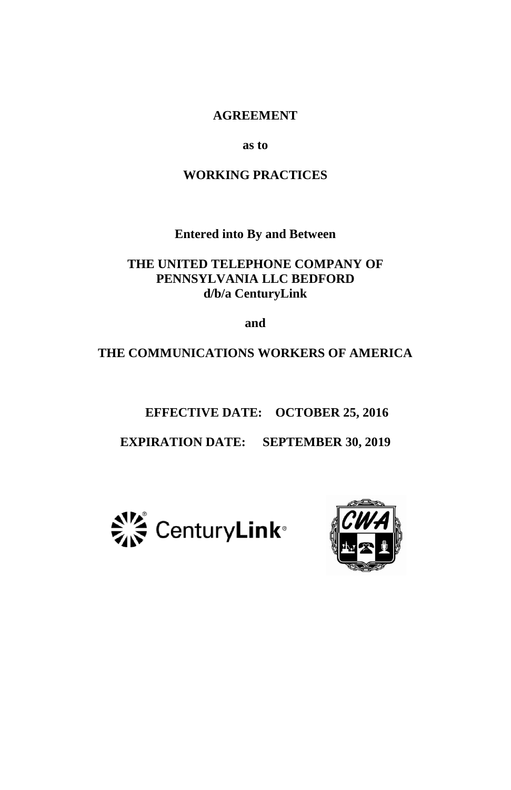#### **AGREEMENT**

**as to**

#### **WORKING PRACTICES**

**Entered into By and Between**

**THE UNITED TELEPHONE COMPANY OF PENNSYLVANIA LLC BEDFORD d/b/a CenturyLink**

**and**

**THE COMMUNICATIONS WORKERS OF AMERICA**

**EFFECTIVE DATE: OCTOBER 25, 2016**

**EXPIRATION DATE: SEPTEMBER 30, 2019**



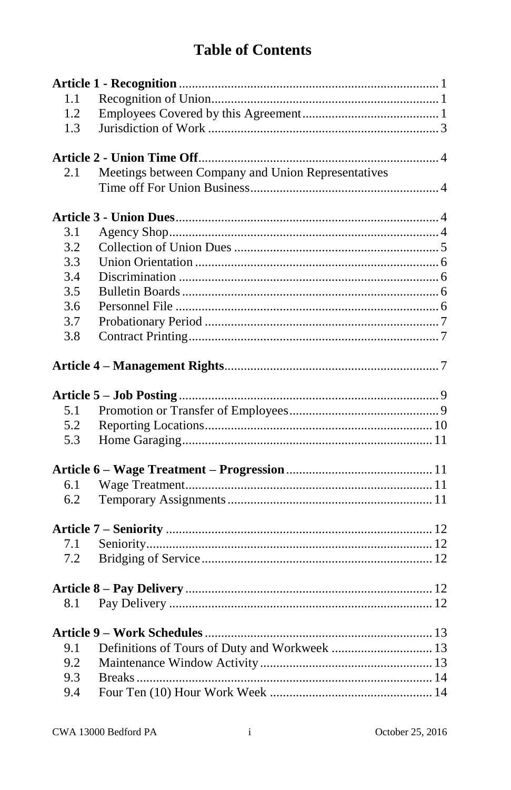| 1.1 |                                                    |
|-----|----------------------------------------------------|
| 1.2 |                                                    |
| 1.3 |                                                    |
|     |                                                    |
| 2.1 | Meetings between Company and Union Representatives |
|     |                                                    |
|     |                                                    |
| 3.1 |                                                    |
| 3.2 |                                                    |
| 3.3 |                                                    |
| 3.4 |                                                    |
| 3.5 |                                                    |
| 3.6 |                                                    |
| 3.7 |                                                    |
| 3.8 |                                                    |
|     |                                                    |
|     |                                                    |
| 5.1 |                                                    |
| 5.2 |                                                    |
| 5.3 |                                                    |
|     |                                                    |
| 6.1 |                                                    |
| 6.2 |                                                    |
|     |                                                    |
| 7.1 |                                                    |
| 7.2 |                                                    |
|     |                                                    |
| 8.1 |                                                    |
|     |                                                    |
| 9.1 |                                                    |
| 9.2 |                                                    |
| 9.3 |                                                    |
| 9.4 |                                                    |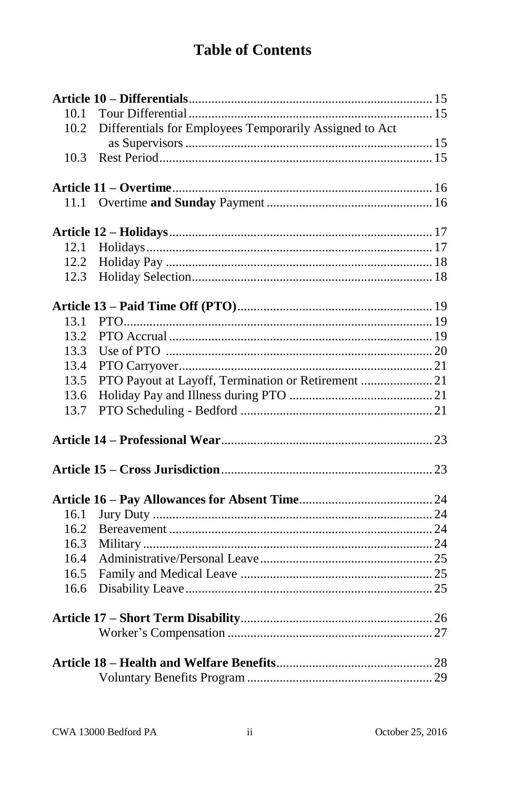| 10.1<br>Differentials for Employees Temporarily Assigned to Act<br>10.2<br>10.3<br>11.1<br>12.2<br>12.3<br>13.1<br>13.2<br>13.3<br>13.4<br>PTO Payout at Layoff, Termination or Retirement  21<br>13.5<br>13.6<br>13.7<br>16.1<br>16.2<br>16.3<br>16.4<br>16.5<br>16.6 |  |  |
|------------------------------------------------------------------------------------------------------------------------------------------------------------------------------------------------------------------------------------------------------------------------|--|--|
|                                                                                                                                                                                                                                                                        |  |  |
|                                                                                                                                                                                                                                                                        |  |  |
|                                                                                                                                                                                                                                                                        |  |  |
|                                                                                                                                                                                                                                                                        |  |  |
|                                                                                                                                                                                                                                                                        |  |  |
|                                                                                                                                                                                                                                                                        |  |  |
|                                                                                                                                                                                                                                                                        |  |  |
|                                                                                                                                                                                                                                                                        |  |  |
|                                                                                                                                                                                                                                                                        |  |  |
|                                                                                                                                                                                                                                                                        |  |  |
|                                                                                                                                                                                                                                                                        |  |  |
|                                                                                                                                                                                                                                                                        |  |  |
|                                                                                                                                                                                                                                                                        |  |  |
|                                                                                                                                                                                                                                                                        |  |  |
|                                                                                                                                                                                                                                                                        |  |  |
|                                                                                                                                                                                                                                                                        |  |  |
|                                                                                                                                                                                                                                                                        |  |  |
|                                                                                                                                                                                                                                                                        |  |  |
|                                                                                                                                                                                                                                                                        |  |  |
|                                                                                                                                                                                                                                                                        |  |  |
|                                                                                                                                                                                                                                                                        |  |  |
|                                                                                                                                                                                                                                                                        |  |  |
|                                                                                                                                                                                                                                                                        |  |  |
|                                                                                                                                                                                                                                                                        |  |  |
|                                                                                                                                                                                                                                                                        |  |  |
|                                                                                                                                                                                                                                                                        |  |  |
|                                                                                                                                                                                                                                                                        |  |  |
|                                                                                                                                                                                                                                                                        |  |  |
|                                                                                                                                                                                                                                                                        |  |  |
|                                                                                                                                                                                                                                                                        |  |  |
|                                                                                                                                                                                                                                                                        |  |  |
|                                                                                                                                                                                                                                                                        |  |  |
|                                                                                                                                                                                                                                                                        |  |  |
|                                                                                                                                                                                                                                                                        |  |  |
|                                                                                                                                                                                                                                                                        |  |  |
|                                                                                                                                                                                                                                                                        |  |  |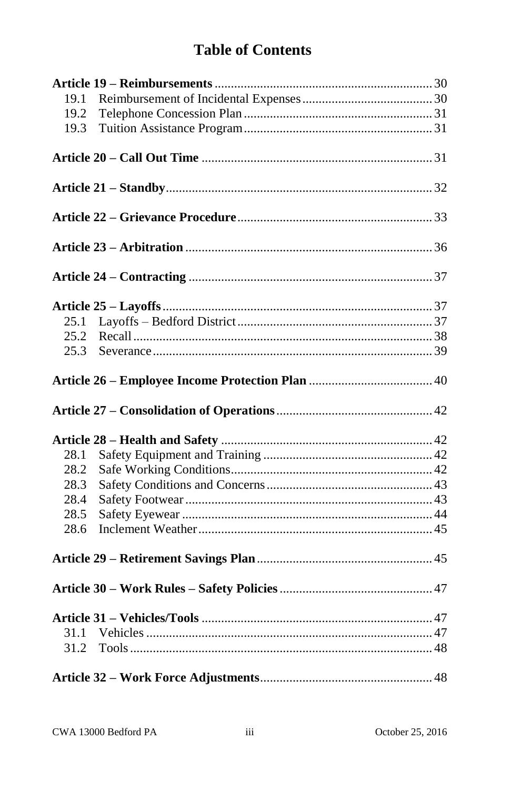| 19.1 |  |
|------|--|
| 19.2 |  |
| 19.3 |  |
|      |  |
|      |  |
|      |  |
|      |  |
|      |  |
|      |  |
|      |  |
|      |  |
|      |  |
|      |  |
|      |  |
| 25.1 |  |
| 25.2 |  |
| 25.3 |  |
|      |  |
|      |  |
|      |  |
|      |  |
|      |  |
| 28.1 |  |
| 28.2 |  |
| 28.3 |  |
| 28.4 |  |
| 28.5 |  |
| 28.6 |  |
|      |  |
|      |  |
|      |  |
|      |  |
|      |  |
|      |  |
| 31.1 |  |
| 31.2 |  |
|      |  |
|      |  |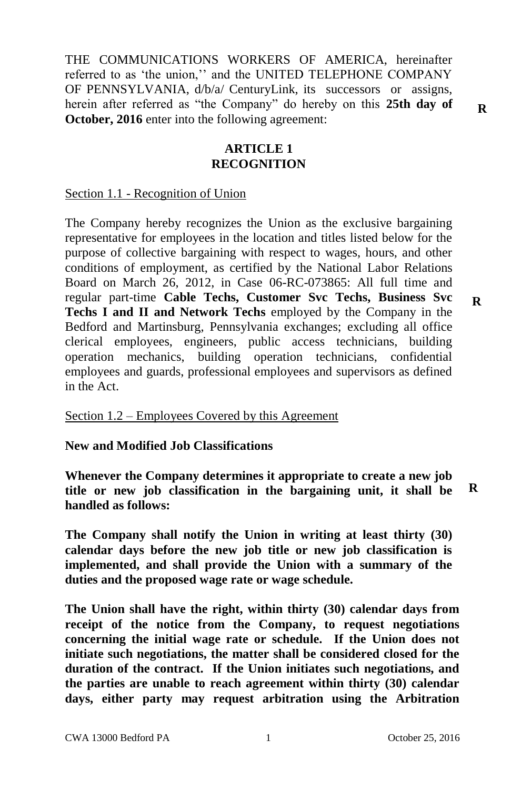THE COMMUNICATIONS WORKERS OF AMERICA, hereinafter referred to as 'the union,'' and the UNITED TELEPHONE COMPANY OF PENNSYLVANIA, d/b/a/ CenturyLink, its successors or assigns, herein after referred as "the Company" do hereby on this **25th day of October, 2016** enter into the following agreement:

## **ARTICLE 1 RECOGNITION**

#### Section 1.1 - Recognition of Union

The Company hereby recognizes the Union as the exclusive bargaining representative for employees in the location and titles listed below for the purpose of collective bargaining with respect to wages, hours, and other conditions of employment, as certified by the National Labor Relations Board on March 26, 2012, in Case 06-RC-073865: All full time and regular part-time **Cable Techs, Customer Svc Techs, Business Svc Techs I and II and Network Techs** employed by the Company in the Bedford and Martinsburg, Pennsylvania exchanges; excluding all office clerical employees, engineers, public access technicians, building operation mechanics, building operation technicians, confidential employees and guards, professional employees and supervisors as defined in the Act.

Section 1.2 – Employees Covered by this Agreement

**New and Modified Job Classifications**

**Whenever the Company determines it appropriate to create a new job title or new job classification in the bargaining unit, it shall be handled as follows: R**

**The Company shall notify the Union in writing at least thirty (30) calendar days before the new job title or new job classification is implemented, and shall provide the Union with a summary of the duties and the proposed wage rate or wage schedule.**

**The Union shall have the right, within thirty (30) calendar days from receipt of the notice from the Company, to request negotiations concerning the initial wage rate or schedule. If the Union does not initiate such negotiations, the matter shall be considered closed for the duration of the contract. If the Union initiates such negotiations, and the parties are unable to reach agreement within thirty (30) calendar days, either party may request arbitration using the Arbitration** 

**R**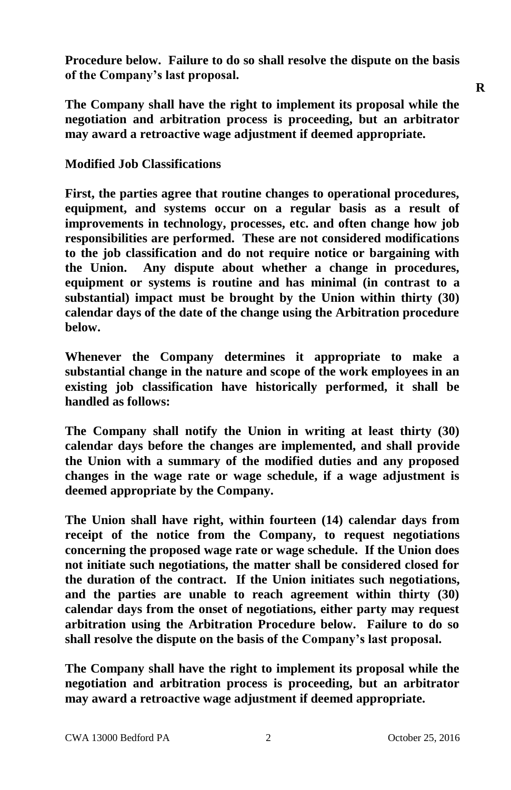**Procedure below. Failure to do so shall resolve the dispute on the basis of the Company's last proposal.**

**The Company shall have the right to implement its proposal while the negotiation and arbitration process is proceeding, but an arbitrator may award a retroactive wage adjustment if deemed appropriate.**

#### **Modified Job Classifications**

**First, the parties agree that routine changes to operational procedures, equipment, and systems occur on a regular basis as a result of improvements in technology, processes, etc. and often change how job responsibilities are performed. These are not considered modifications to the job classification and do not require notice or bargaining with the Union. Any dispute about whether a change in procedures, equipment or systems is routine and has minimal (in contrast to a substantial) impact must be brought by the Union within thirty (30) calendar days of the date of the change using the Arbitration procedure below.**

**Whenever the Company determines it appropriate to make a substantial change in the nature and scope of the work employees in an existing job classification have historically performed, it shall be handled as follows:**

**The Company shall notify the Union in writing at least thirty (30) calendar days before the changes are implemented, and shall provide the Union with a summary of the modified duties and any proposed changes in the wage rate or wage schedule, if a wage adjustment is deemed appropriate by the Company.**

**The Union shall have right, within fourteen (14) calendar days from receipt of the notice from the Company, to request negotiations concerning the proposed wage rate or wage schedule. If the Union does not initiate such negotiations, the matter shall be considered closed for the duration of the contract. If the Union initiates such negotiations, and the parties are unable to reach agreement within thirty (30) calendar days from the onset of negotiations, either party may request arbitration using the Arbitration Procedure below. Failure to do so shall resolve the dispute on the basis of the Company's last proposal.**

**The Company shall have the right to implement its proposal while the negotiation and arbitration process is proceeding, but an arbitrator may award a retroactive wage adjustment if deemed appropriate.**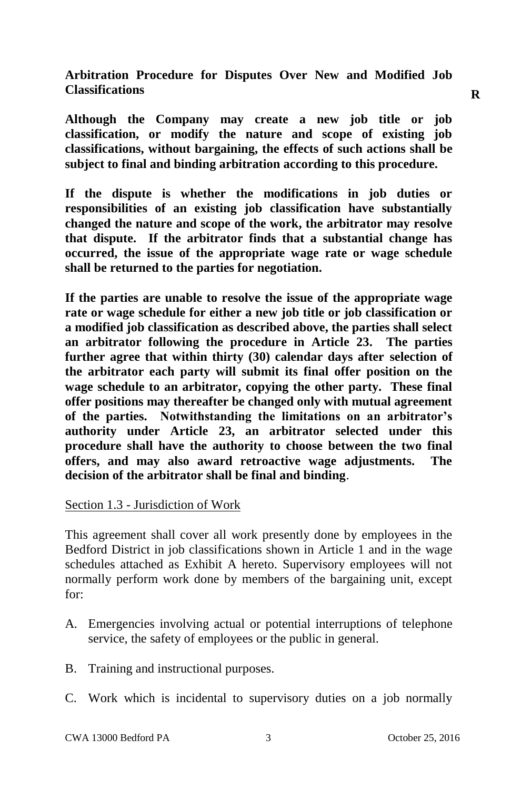**Arbitration Procedure for Disputes Over New and Modified Job Classifications**

**Although the Company may create a new job title or job classification, or modify the nature and scope of existing job classifications, without bargaining, the effects of such actions shall be subject to final and binding arbitration according to this procedure.**

**If the dispute is whether the modifications in job duties or responsibilities of an existing job classification have substantially changed the nature and scope of the work, the arbitrator may resolve that dispute. If the arbitrator finds that a substantial change has occurred, the issue of the appropriate wage rate or wage schedule shall be returned to the parties for negotiation.**

**If the parties are unable to resolve the issue of the appropriate wage rate or wage schedule for either a new job title or job classification or a modified job classification as described above, the parties shall select an arbitrator following the procedure in Article 23. The parties further agree that within thirty (30) calendar days after selection of the arbitrator each party will submit its final offer position on the wage schedule to an arbitrator, copying the other party. These final offer positions may thereafter be changed only with mutual agreement of the parties. Notwithstanding the limitations on an arbitrator's authority under Article 23, an arbitrator selected under this procedure shall have the authority to choose between the two final offers, and may also award retroactive wage adjustments. The decision of the arbitrator shall be final and binding**.

Section 1.3 - Jurisdiction of Work

This agreement shall cover all work presently done by employees in the Bedford District in job classifications shown in Article 1 and in the wage schedules attached as Exhibit A hereto. Supervisory employees will not normally perform work done by members of the bargaining unit, except for:

- A. Emergencies involving actual or potential interruptions of telephone service, the safety of employees or the public in general.
- B. Training and instructional purposes.
- C. Work which is incidental to supervisory duties on a job normally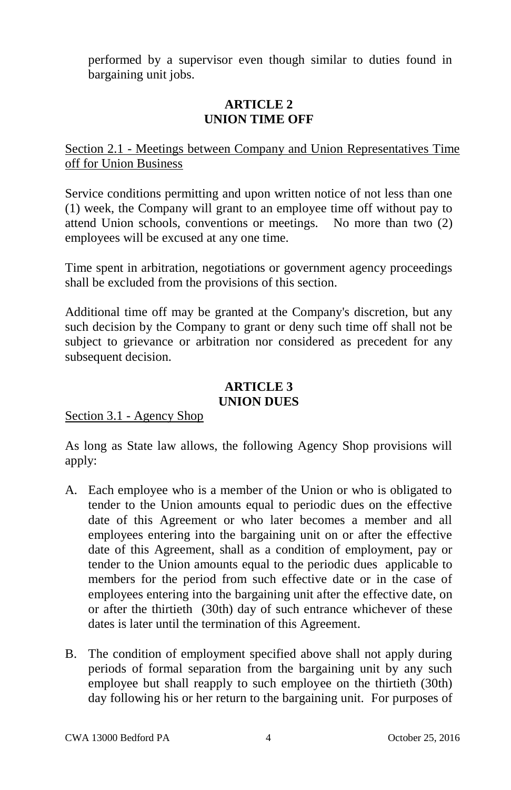performed by a supervisor even though similar to duties found in bargaining unit jobs.

# **ARTICLE 2 UNION TIME OFF**

Section 2.1 - Meetings between Company and Union Representatives Time off for Union Business

Service conditions permitting and upon written notice of not less than one (1) week, the Company will grant to an employee time off without pay to attend Union schools, conventions or meetings. No more than two (2) employees will be excused at any one time.

Time spent in arbitration, negotiations or government agency proceedings shall be excluded from the provisions of this section.

Additional time off may be granted at the Company's discretion, but any such decision by the Company to grant or deny such time off shall not be subject to grievance or arbitration nor considered as precedent for any subsequent decision.

#### **ARTICLE 3 UNION DUES**

# Section 3.1 - Agency Shop

As long as State law allows, the following Agency Shop provisions will apply:

- A. Each employee who is a member of the Union or who is obligated to tender to the Union amounts equal to periodic dues on the effective date of this Agreement or who later becomes a member and all employees entering into the bargaining unit on or after the effective date of this Agreement, shall as a condition of employment, pay or tender to the Union amounts equal to the periodic dues applicable to members for the period from such effective date or in the case of employees entering into the bargaining unit after the effective date, on or after the thirtieth (30th) day of such entrance whichever of these dates is later until the termination of this Agreement.
- B. The condition of employment specified above shall not apply during periods of formal separation from the bargaining unit by any such employee but shall reapply to such employee on the thirtieth (30th) day following his or her return to the bargaining unit. For purposes of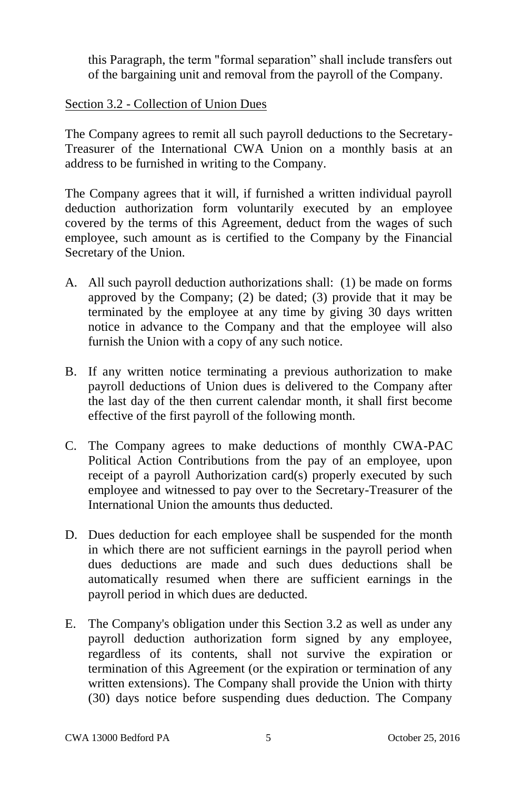this Paragraph, the term "formal separation" shall include transfers out of the bargaining unit and removal from the payroll of the Company.

# Section 3.2 - Collection of Union Dues

The Company agrees to remit all such payroll deductions to the Secretary-Treasurer of the International CWA Union on a monthly basis at an address to be furnished in writing to the Company.

The Company agrees that it will, if furnished a written individual payroll deduction authorization form voluntarily executed by an employee covered by the terms of this Agreement, deduct from the wages of such employee, such amount as is certified to the Company by the Financial Secretary of the Union.

- A. All such payroll deduction authorizations shall: (1) be made on forms approved by the Company; (2) be dated; (3) provide that it may be terminated by the employee at any time by giving 30 days written notice in advance to the Company and that the employee will also furnish the Union with a copy of any such notice.
- B. If any written notice terminating a previous authorization to make payroll deductions of Union dues is delivered to the Company after the last day of the then current calendar month, it shall first become effective of the first payroll of the following month.
- C. The Company agrees to make deductions of monthly CWA-PAC Political Action Contributions from the pay of an employee, upon receipt of a payroll Authorization card(s) properly executed by such employee and witnessed to pay over to the Secretary-Treasurer of the International Union the amounts thus deducted.
- D. Dues deduction for each employee shall be suspended for the month in which there are not sufficient earnings in the payroll period when dues deductions are made and such dues deductions shall be automatically resumed when there are sufficient earnings in the payroll period in which dues are deducted.
- E. The Company's obligation under this Section 3.2 as well as under any payroll deduction authorization form signed by any employee, regardless of its contents, shall not survive the expiration or termination of this Agreement (or the expiration or termination of any written extensions). The Company shall provide the Union with thirty (30) days notice before suspending dues deduction. The Company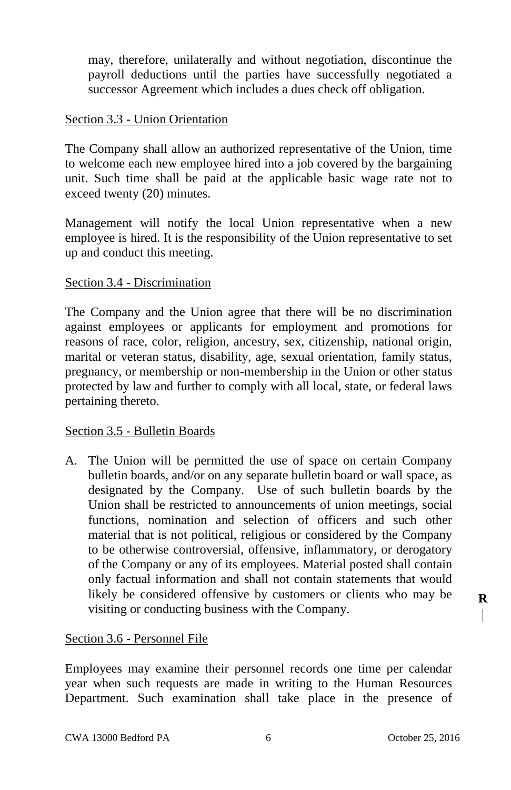may, therefore, unilaterally and without negotiation, discontinue the payroll deductions until the parties have successfully negotiated a successor Agreement which includes a dues check off obligation.

## Section 3.3 - Union Orientation

The Company shall allow an authorized representative of the Union, time to welcome each new employee hired into a job covered by the bargaining unit. Such time shall be paid at the applicable basic wage rate not to exceed twenty (20) minutes.

Management will notify the local Union representative when a new employee is hired. It is the responsibility of the Union representative to set up and conduct this meeting.

## Section 3.4 - Discrimination

The Company and the Union agree that there will be no discrimination against employees or applicants for employment and promotions for reasons of race, color, religion, ancestry, sex, citizenship, national origin, marital or veteran status, disability, age, sexual orientation, family status, pregnancy, or membership or non-membership in the Union or other status protected by law and further to comply with all local, state, or federal laws pertaining thereto.

#### Section 3.5 - Bulletin Boards

A. The Union will be permitted the use of space on certain Company bulletin boards, and/or on any separate bulletin board or wall space, as designated by the Company. Use of such bulletin boards by the Union shall be restricted to announcements of union meetings, social functions, nomination and selection of officers and such other material that is not political, religious or considered by the Company to be otherwise controversial, offensive, inflammatory, or derogatory of the Company or any of its employees. Material posted shall contain only factual information and shall not contain statements that would likely be considered offensive by customers or clients who may be visiting or conducting business with the Company.

#### Section 3.6 - Personnel File

Employees may examine their personnel records one time per calendar year when such requests are made in writing to the Human Resources Department. Such examination shall take place in the presence of **R**I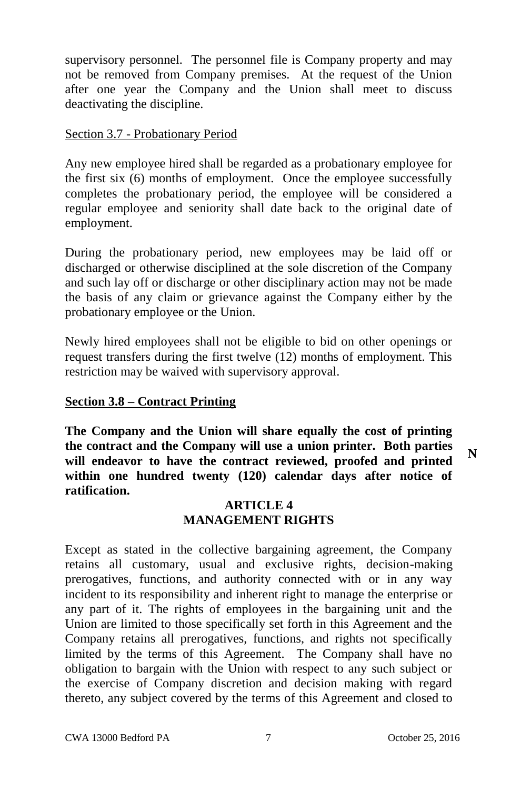supervisory personnel. The personnel file is Company property and may not be removed from Company premises. At the request of the Union after one year the Company and the Union shall meet to discuss deactivating the discipline.

## Section 3.7 - Probationary Period

Any new employee hired shall be regarded as a probationary employee for the first six (6) months of employment. Once the employee successfully completes the probationary period, the employee will be considered a regular employee and seniority shall date back to the original date of employment.

During the probationary period, new employees may be laid off or discharged or otherwise disciplined at the sole discretion of the Company and such lay off or discharge or other disciplinary action may not be made the basis of any claim or grievance against the Company either by the probationary employee or the Union.

Newly hired employees shall not be eligible to bid on other openings or request transfers during the first twelve (12) months of employment. This restriction may be waived with supervisory approval.

# **Section 3.8 – Contract Printing**

**The Company and the Union will share equally the cost of printing the contract and the Company will use a union printer. Both parties will endeavor to have the contract reviewed, proofed and printed within one hundred twenty (120) calendar days after notice of ratification.**

## **ARTICLE 4 MANAGEMENT RIGHTS**

Except as stated in the collective bargaining agreement, the Company retains all customary, usual and exclusive rights, decision-making prerogatives, functions, and authority connected with or in any way incident to its responsibility and inherent right to manage the enterprise or any part of it. The rights of employees in the bargaining unit and the Union are limited to those specifically set forth in this Agreement and the Company retains all prerogatives, functions, and rights not specifically limited by the terms of this Agreement. The Company shall have no obligation to bargain with the Union with respect to any such subject or the exercise of Company discretion and decision making with regard thereto, any subject covered by the terms of this Agreement and closed to

**N**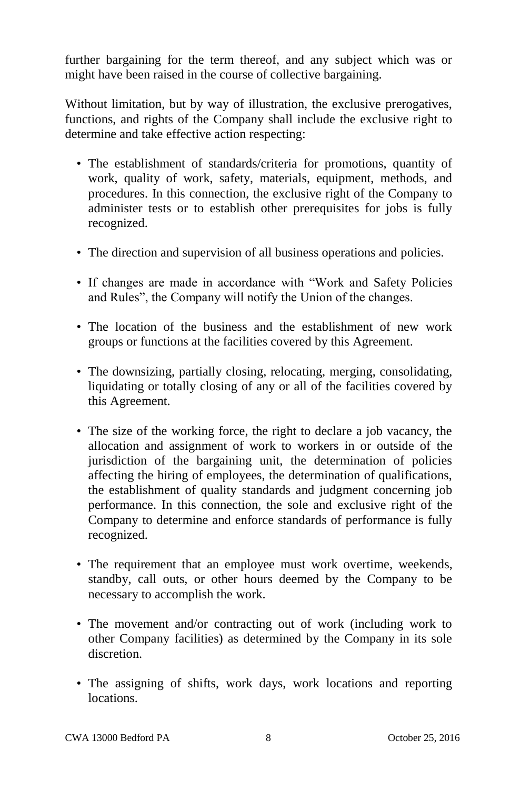further bargaining for the term thereof, and any subject which was or might have been raised in the course of collective bargaining.

Without limitation, but by way of illustration, the exclusive prerogatives, functions, and rights of the Company shall include the exclusive right to determine and take effective action respecting:

- The establishment of standards/criteria for promotions, quantity of work, quality of work, safety, materials, equipment, methods, and procedures. In this connection, the exclusive right of the Company to administer tests or to establish other prerequisites for jobs is fully recognized.
- The direction and supervision of all business operations and policies.
- If changes are made in accordance with "Work and Safety Policies and Rules", the Company will notify the Union of the changes.
- The location of the business and the establishment of new work groups or functions at the facilities covered by this Agreement.
- The downsizing, partially closing, relocating, merging, consolidating, liquidating or totally closing of any or all of the facilities covered by this Agreement.
- The size of the working force, the right to declare a job vacancy, the allocation and assignment of work to workers in or outside of the jurisdiction of the bargaining unit, the determination of policies affecting the hiring of employees, the determination of qualifications, the establishment of quality standards and judgment concerning job performance. In this connection, the sole and exclusive right of the Company to determine and enforce standards of performance is fully recognized.
- The requirement that an employee must work overtime, weekends, standby, call outs, or other hours deemed by the Company to be necessary to accomplish the work.
- The movement and/or contracting out of work (including work to other Company facilities) as determined by the Company in its sole discretion.
- The assigning of shifts, work days, work locations and reporting locations.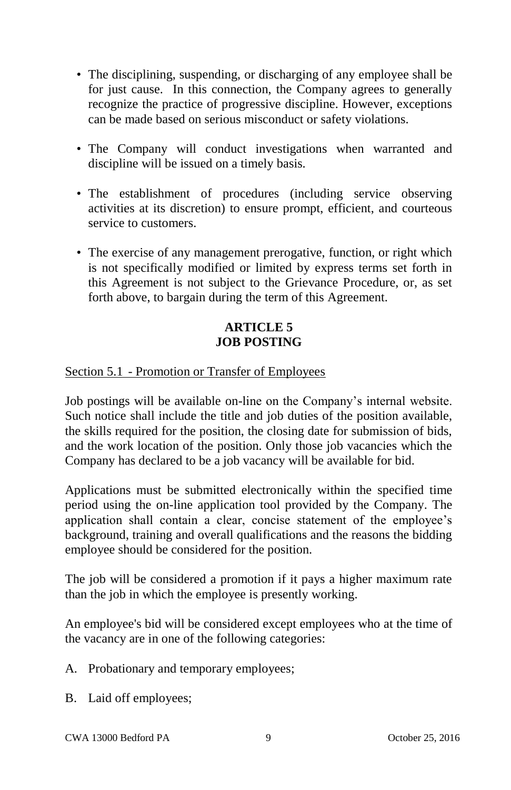- The disciplining, suspending, or discharging of any employee shall be for just cause. In this connection, the Company agrees to generally recognize the practice of progressive discipline. However, exceptions can be made based on serious misconduct or safety violations.
- The Company will conduct investigations when warranted and discipline will be issued on a timely basis.
- The establishment of procedures (including service observing activities at its discretion) to ensure prompt, efficient, and courteous service to customers.
- The exercise of any management prerogative, function, or right which is not specifically modified or limited by express terms set forth in this Agreement is not subject to the Grievance Procedure, or, as set forth above, to bargain during the term of this Agreement.

# **ARTICLE 5 JOB POSTING**

# Section 5.1 - Promotion or Transfer of Employees

Job postings will be available on-line on the Company's internal website. Such notice shall include the title and job duties of the position available, the skills required for the position, the closing date for submission of bids, and the work location of the position. Only those job vacancies which the Company has declared to be a job vacancy will be available for bid.

Applications must be submitted electronically within the specified time period using the on-line application tool provided by the Company. The application shall contain a clear, concise statement of the employee's background, training and overall qualifications and the reasons the bidding employee should be considered for the position.

The job will be considered a promotion if it pays a higher maximum rate than the job in which the employee is presently working.

An employee's bid will be considered except employees who at the time of the vacancy are in one of the following categories:

- A. Probationary and temporary employees;
- B. Laid off employees;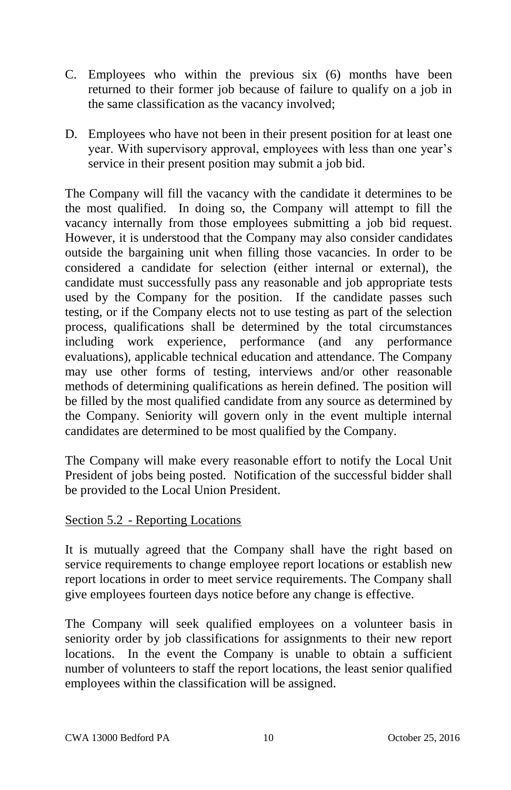- C. Employees who within the previous six (6) months have been returned to their former job because of failure to qualify on a job in the same classification as the vacancy involved;
- D. Employees who have not been in their present position for at least one year. With supervisory approval, employees with less than one year's service in their present position may submit a job bid.

The Company will fill the vacancy with the candidate it determines to be the most qualified. In doing so, the Company will attempt to fill the vacancy internally from those employees submitting a job bid request. However, it is understood that the Company may also consider candidates outside the bargaining unit when filling those vacancies. In order to be considered a candidate for selection (either internal or external), the candidate must successfully pass any reasonable and job appropriate tests used by the Company for the position. If the candidate passes such testing, or if the Company elects not to use testing as part of the selection process, qualifications shall be determined by the total circumstances including work experience, performance (and any performance evaluations), applicable technical education and attendance. The Company may use other forms of testing, interviews and/or other reasonable methods of determining qualifications as herein defined. The position will be filled by the most qualified candidate from any source as determined by the Company. Seniority will govern only in the event multiple internal candidates are determined to be most qualified by the Company.

The Company will make every reasonable effort to notify the Local Unit President of jobs being posted. Notification of the successful bidder shall be provided to the Local Union President.

# Section 5.2 - Reporting Locations

It is mutually agreed that the Company shall have the right based on service requirements to change employee report locations or establish new report locations in order to meet service requirements. The Company shall give employees fourteen days notice before any change is effective.

The Company will seek qualified employees on a volunteer basis in seniority order by job classifications for assignments to their new report locations. In the event the Company is unable to obtain a sufficient number of volunteers to staff the report locations, the least senior qualified employees within the classification will be assigned.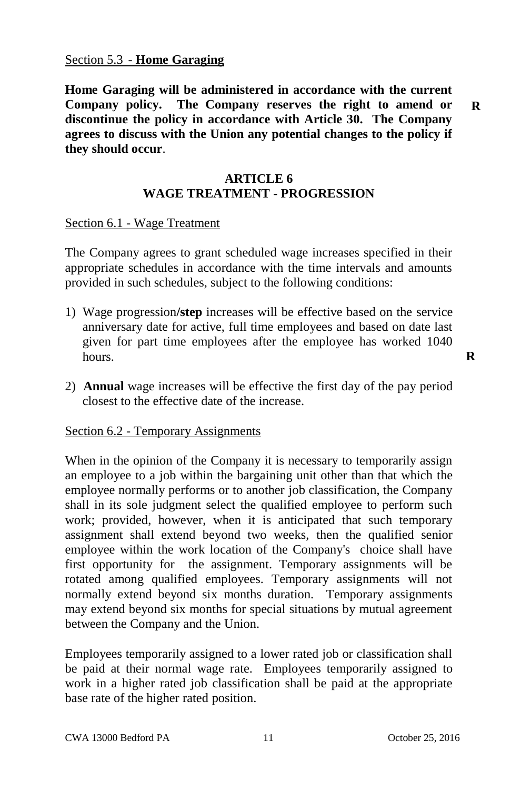#### Section 5.3 - **Home Garaging**

**Home Garaging will be administered in accordance with the current Company policy. The Company reserves the right to amend or discontinue the policy in accordance with Article 30. The Company agrees to discuss with the Union any potential changes to the policy if they should occur**.

#### **ARTICLE 6 WAGE TREATMENT - PROGRESSION**

# Section 6.1 - Wage Treatment

The Company agrees to grant scheduled wage increases specified in their appropriate schedules in accordance with the time intervals and amounts provided in such schedules, subject to the following conditions:

- 1) Wage progression**/step** increases will be effective based on the service anniversary date for active, full time employees and based on date last given for part time employees after the employee has worked 1040 hours.
- 2) **Annual** wage increases will be effective the first day of the pay period closest to the effective date of the increase.

#### Section 6.2 - Temporary Assignments

When in the opinion of the Company it is necessary to temporarily assign an employee to a job within the bargaining unit other than that which the employee normally performs or to another job classification, the Company shall in its sole judgment select the qualified employee to perform such work; provided, however, when it is anticipated that such temporary assignment shall extend beyond two weeks, then the qualified senior employee within the work location of the Company's choice shall have first opportunity for the assignment. Temporary assignments will be rotated among qualified employees. Temporary assignments will not normally extend beyond six months duration. Temporary assignments may extend beyond six months for special situations by mutual agreement between the Company and the Union.

Employees temporarily assigned to a lower rated job or classification shall be paid at their normal wage rate. Employees temporarily assigned to work in a higher rated job classification shall be paid at the appropriate base rate of the higher rated position.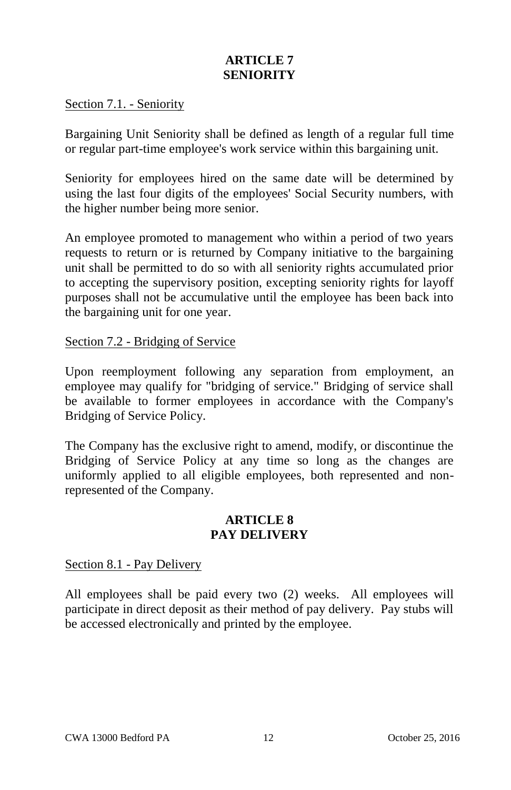# **ARTICLE 7 SENIORITY**

#### Section 7.1. - Seniority

Bargaining Unit Seniority shall be defined as length of a regular full time or regular part-time employee's work service within this bargaining unit.

Seniority for employees hired on the same date will be determined by using the last four digits of the employees' Social Security numbers, with the higher number being more senior.

An employee promoted to management who within a period of two years requests to return or is returned by Company initiative to the bargaining unit shall be permitted to do so with all seniority rights accumulated prior to accepting the supervisory position, excepting seniority rights for layoff purposes shall not be accumulative until the employee has been back into the bargaining unit for one year.

#### Section 7.2 - Bridging of Service

Upon reemployment following any separation from employment, an employee may qualify for "bridging of service." Bridging of service shall be available to former employees in accordance with the Company's Bridging of Service Policy.

The Company has the exclusive right to amend, modify, or discontinue the Bridging of Service Policy at any time so long as the changes are uniformly applied to all eligible employees, both represented and nonrepresented of the Company.

#### **ARTICLE 8 PAY DELIVERY**

#### Section 8.1 - Pay Delivery

All employees shall be paid every two (2) weeks. All employees will participate in direct deposit as their method of pay delivery. Pay stubs will be accessed electronically and printed by the employee.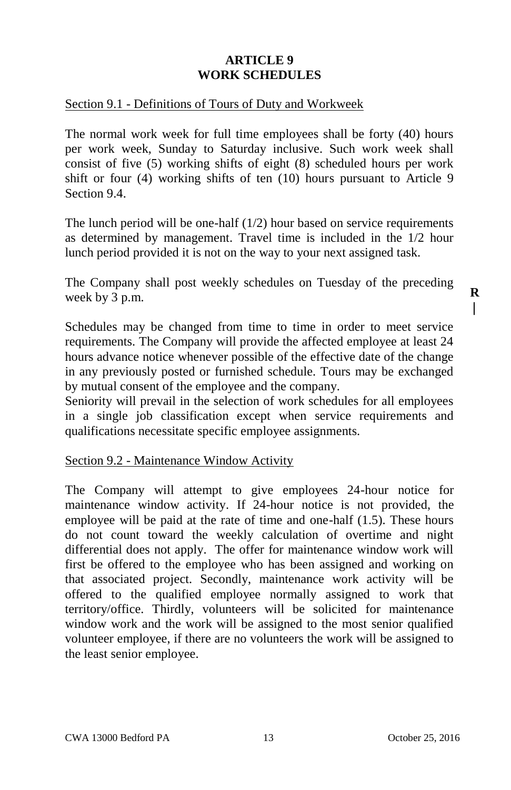# **ARTICLE 9 WORK SCHEDULES**

#### Section 9.1 - Definitions of Tours of Duty and Workweek

The normal work week for full time employees shall be forty (40) hours per work week, Sunday to Saturday inclusive. Such work week shall consist of five (5) working shifts of eight (8) scheduled hours per work shift or four (4) working shifts of ten (10) hours pursuant to Article 9 Section 9.4.

The lunch period will be one-half (1/2) hour based on service requirements as determined by management. Travel time is included in the 1/2 hour lunch period provided it is not on the way to your next assigned task.

The Company shall post weekly schedules on Tuesday of the preceding week by 3 p.m.

Schedules may be changed from time to time in order to meet service requirements. The Company will provide the affected employee at least 24 hours advance notice whenever possible of the effective date of the change in any previously posted or furnished schedule. Tours may be exchanged by mutual consent of the employee and the company.

Seniority will prevail in the selection of work schedules for all employees in a single job classification except when service requirements and qualifications necessitate specific employee assignments.

#### Section 9.2 - Maintenance Window Activity

The Company will attempt to give employees 24-hour notice for maintenance window activity. If 24-hour notice is not provided, the employee will be paid at the rate of time and one-half (1.5). These hours do not count toward the weekly calculation of overtime and night differential does not apply. The offer for maintenance window work will first be offered to the employee who has been assigned and working on that associated project. Secondly, maintenance work activity will be offered to the qualified employee normally assigned to work that territory/office. Thirdly, volunteers will be solicited for maintenance window work and the work will be assigned to the most senior qualified volunteer employee, if there are no volunteers the work will be assigned to the least senior employee.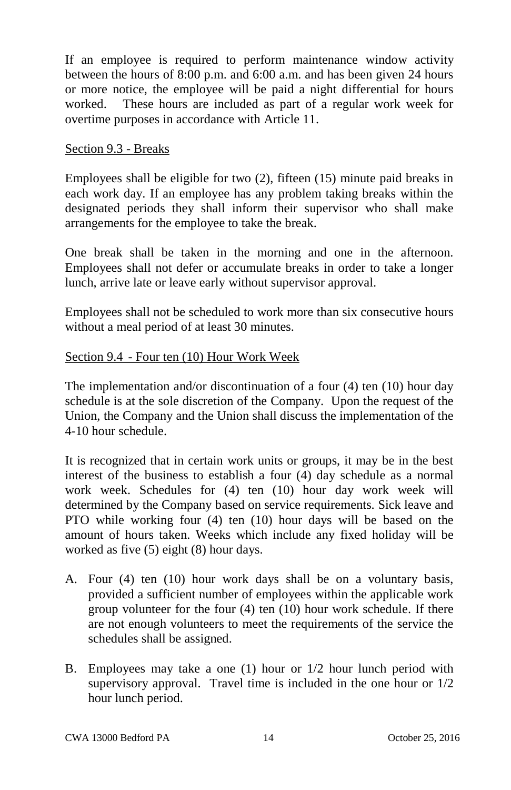If an employee is required to perform maintenance window activity between the hours of 8:00 p.m. and 6:00 a.m. and has been given 24 hours or more notice, the employee will be paid a night differential for hours worked. These hours are included as part of a regular work week for overtime purposes in accordance with Article 11.

## Section 9.3 - Breaks

Employees shall be eligible for two (2), fifteen (15) minute paid breaks in each work day. If an employee has any problem taking breaks within the designated periods they shall inform their supervisor who shall make arrangements for the employee to take the break.

One break shall be taken in the morning and one in the afternoon. Employees shall not defer or accumulate breaks in order to take a longer lunch, arrive late or leave early without supervisor approval.

Employees shall not be scheduled to work more than six consecutive hours without a meal period of at least 30 minutes.

# Section 9.4 - Four ten (10) Hour Work Week

The implementation and/or discontinuation of a four (4) ten (10) hour day schedule is at the sole discretion of the Company. Upon the request of the Union, the Company and the Union shall discuss the implementation of the 4-10 hour schedule.

It is recognized that in certain work units or groups, it may be in the best interest of the business to establish a four (4) day schedule as a normal work week. Schedules for (4) ten (10) hour day work week will determined by the Company based on service requirements. Sick leave and PTO while working four (4) ten (10) hour days will be based on the amount of hours taken. Weeks which include any fixed holiday will be worked as five (5) eight (8) hour days.

- A. Four (4) ten (10) hour work days shall be on a voluntary basis, provided a sufficient number of employees within the applicable work group volunteer for the four (4) ten (10) hour work schedule. If there are not enough volunteers to meet the requirements of the service the schedules shall be assigned.
- B. Employees may take a one (1) hour or 1/2 hour lunch period with supervisory approval. Travel time is included in the one hour or 1/2 hour lunch period.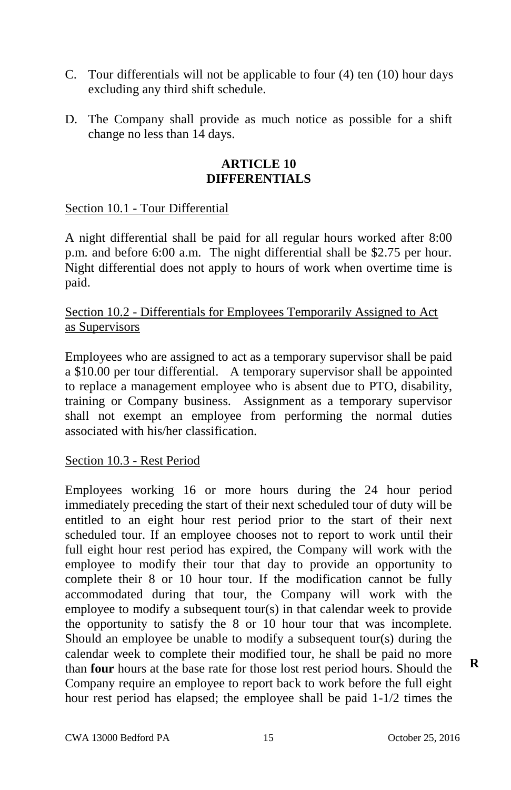- C. Tour differentials will not be applicable to four (4) ten (10) hour days excluding any third shift schedule.
- D. The Company shall provide as much notice as possible for a shift change no less than 14 days.

### **ARTICLE 10 DIFFERENTIALS**

## Section 10.1 - Tour Differential

A night differential shall be paid for all regular hours worked after 8:00 p.m. and before 6:00 a.m. The night differential shall be \$2.75 per hour. Night differential does not apply to hours of work when overtime time is paid.

# Section 10.2 - Differentials for Employees Temporarily Assigned to Act as Supervisors

Employees who are assigned to act as a temporary supervisor shall be paid a \$10.00 per tour differential. A temporary supervisor shall be appointed to replace a management employee who is absent due to PTO, disability, training or Company business. Assignment as a temporary supervisor shall not exempt an employee from performing the normal duties associated with his/her classification.

# Section 10.3 - Rest Period

Employees working 16 or more hours during the 24 hour period immediately preceding the start of their next scheduled tour of duty will be entitled to an eight hour rest period prior to the start of their next scheduled tour. If an employee chooses not to report to work until their full eight hour rest period has expired, the Company will work with the employee to modify their tour that day to provide an opportunity to complete their 8 or 10 hour tour. If the modification cannot be fully accommodated during that tour, the Company will work with the employee to modify a subsequent tour(s) in that calendar week to provide the opportunity to satisfy the 8 or 10 hour tour that was incomplete. Should an employee be unable to modify a subsequent tour(s) during the calendar week to complete their modified tour, he shall be paid no more than **four** hours at the base rate for those lost rest period hours. Should the Company require an employee to report back to work before the full eight hour rest period has elapsed; the employee shall be paid 1-1/2 times the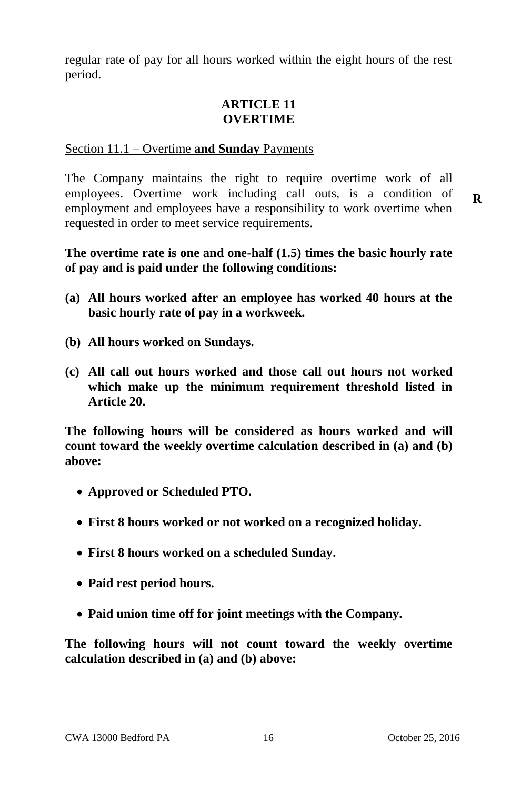regular rate of pay for all hours worked within the eight hours of the rest period.

# **ARTICLE 11 OVERTIME**

## Section 11.1 – Overtime **and Sunday** Payments

The Company maintains the right to require overtime work of all employees. Overtime work including call outs, is a condition of employment and employees have a responsibility to work overtime when requested in order to meet service requirements.

# **The overtime rate is one and one-half (1.5) times the basic hourly rate of pay and is paid under the following conditions:**

- **(a) All hours worked after an employee has worked 40 hours at the basic hourly rate of pay in a workweek.**
- **(b) All hours worked on Sundays.**
- **(c) All call out hours worked and those call out hours not worked which make up the minimum requirement threshold listed in Article 20.**

**The following hours will be considered as hours worked and will count toward the weekly overtime calculation described in (a) and (b) above:**

- **Approved or Scheduled PTO.**
- **First 8 hours worked or not worked on a recognized holiday.**
- **First 8 hours worked on a scheduled Sunday.**
- **Paid rest period hours.**
- **Paid union time off for joint meetings with the Company.**

**The following hours will not count toward the weekly overtime calculation described in (a) and (b) above:**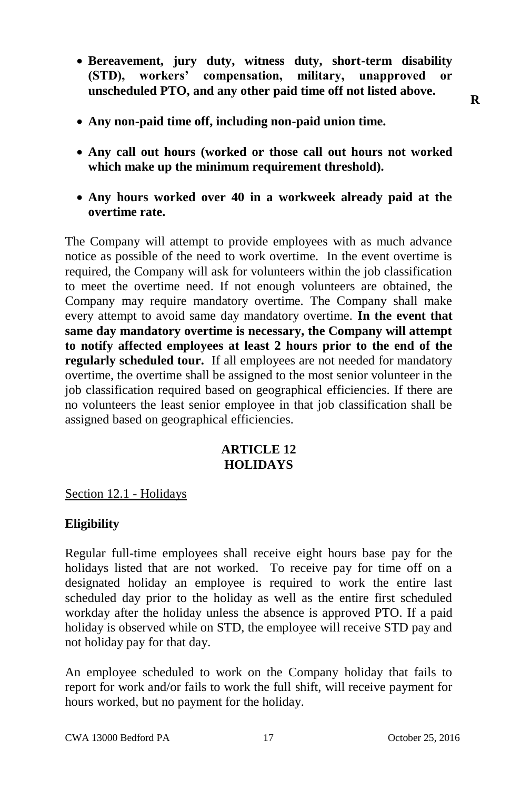- **Bereavement, jury duty, witness duty, short-term disability (STD), workers' compensation, military, unapproved or unscheduled PTO, and any other paid time off not listed above.**
- **Any non-paid time off, including non-paid union time.**
- **Any call out hours (worked or those call out hours not worked which make up the minimum requirement threshold).**
- **Any hours worked over 40 in a workweek already paid at the overtime rate.**

The Company will attempt to provide employees with as much advance notice as possible of the need to work overtime. In the event overtime is required, the Company will ask for volunteers within the job classification to meet the overtime need. If not enough volunteers are obtained, the Company may require mandatory overtime. The Company shall make every attempt to avoid same day mandatory overtime. **In the event that same day mandatory overtime is necessary, the Company will attempt to notify affected employees at least 2 hours prior to the end of the regularly scheduled tour.** If all employees are not needed for mandatory overtime, the overtime shall be assigned to the most senior volunteer in the job classification required based on geographical efficiencies. If there are no volunteers the least senior employee in that job classification shall be assigned based on geographical efficiencies.

# **ARTICLE 12 HOLIDAYS**

Section 12.1 - Holidays

# **Eligibility**

Regular full-time employees shall receive eight hours base pay for the holidays listed that are not worked. To receive pay for time off on a designated holiday an employee is required to work the entire last scheduled day prior to the holiday as well as the entire first scheduled workday after the holiday unless the absence is approved PTO. If a paid holiday is observed while on STD, the employee will receive STD pay and not holiday pay for that day.

An employee scheduled to work on the Company holiday that fails to report for work and/or fails to work the full shift, will receive payment for hours worked, but no payment for the holiday.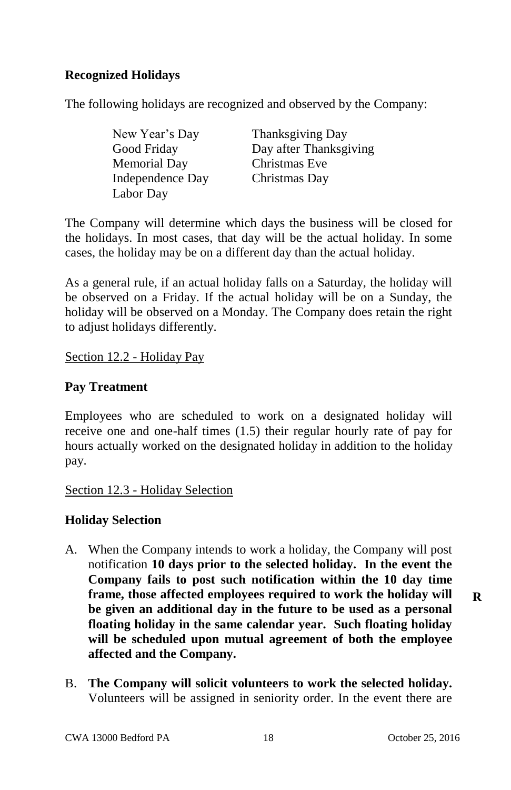# **Recognized Holidays**

The following holidays are recognized and observed by the Company:

| New Year's Day   | Thanksgiving Day       |
|------------------|------------------------|
| Good Friday      | Day after Thanksgiving |
| Memorial Dav     | Christmas Eve          |
| Independence Day | Christmas Day          |
| Labor Day        |                        |

The Company will determine which days the business will be closed for the holidays. In most cases, that day will be the actual holiday. In some cases, the holiday may be on a different day than the actual holiday.

As a general rule, if an actual holiday falls on a Saturday, the holiday will be observed on a Friday. If the actual holiday will be on a Sunday, the holiday will be observed on a Monday. The Company does retain the right to adjust holidays differently.

Section 12.2 - Holiday Pay

## **Pay Treatment**

Employees who are scheduled to work on a designated holiday will receive one and one-half times (1.5) their regular hourly rate of pay for hours actually worked on the designated holiday in addition to the holiday pay.

Section 12.3 - Holiday Selection

# **Holiday Selection**

- A. When the Company intends to work a holiday, the Company will post notification **10 days prior to the selected holiday. In the event the Company fails to post such notification within the 10 day time frame, those affected employees required to work the holiday will be given an additional day in the future to be used as a personal floating holiday in the same calendar year. Such floating holiday will be scheduled upon mutual agreement of both the employee affected and the Company.**
- B. **The Company will solicit volunteers to work the selected holiday.**  Volunteers will be assigned in seniority order. In the event there are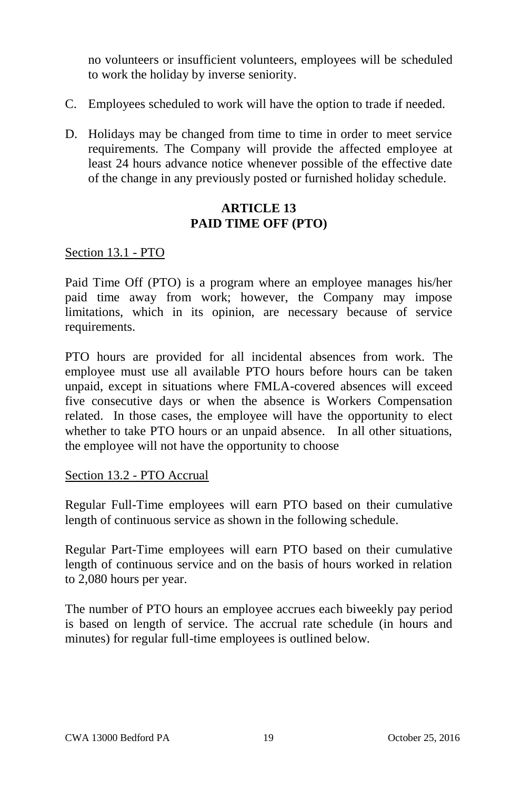no volunteers or insufficient volunteers, employees will be scheduled to work the holiday by inverse seniority.

- C. Employees scheduled to work will have the option to trade if needed.
- D. Holidays may be changed from time to time in order to meet service requirements. The Company will provide the affected employee at least 24 hours advance notice whenever possible of the effective date of the change in any previously posted or furnished holiday schedule.

## **ARTICLE 13 PAID TIME OFF (PTO)**

## Section 13.1 - PTO

Paid Time Off (PTO) is a program where an employee manages his/her paid time away from work; however, the Company may impose limitations, which in its opinion, are necessary because of service requirements.

PTO hours are provided for all incidental absences from work. The employee must use all available PTO hours before hours can be taken unpaid, except in situations where FMLA-covered absences will exceed five consecutive days or when the absence is Workers Compensation related. In those cases, the employee will have the opportunity to elect whether to take PTO hours or an unpaid absence. In all other situations, the employee will not have the opportunity to choose

#### Section 13.2 - PTO Accrual

Regular Full-Time employees will earn PTO based on their cumulative length of continuous service as shown in the following schedule.

Regular Part-Time employees will earn PTO based on their cumulative length of continuous service and on the basis of hours worked in relation to 2,080 hours per year.

The number of PTO hours an employee accrues each biweekly pay period is based on length of service. The accrual rate schedule (in hours and minutes) for regular full-time employees is outlined below.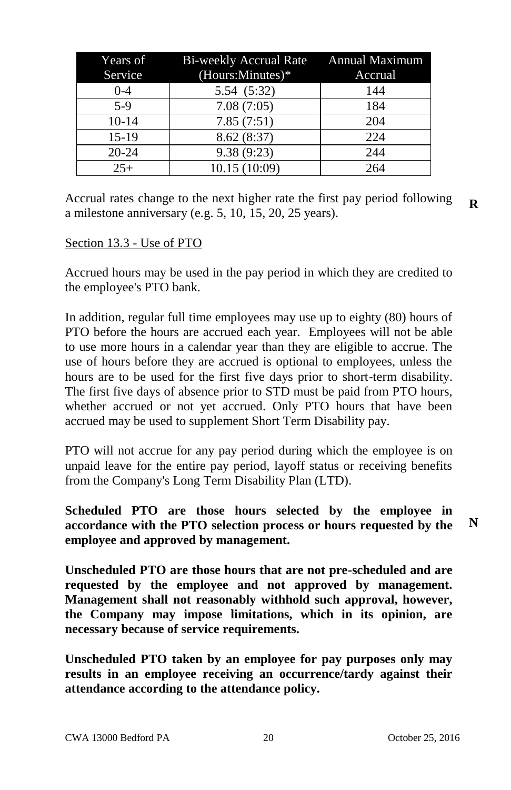|           | Years of Bi-weekly Accrual Rate Annual Maximum |         |
|-----------|------------------------------------------------|---------|
| Service   | (Hours:Minutes)*                               | Accrual |
| $0 - 4$   | 5.54 (5:32)                                    | 144     |
| $5-9$     | 7.08(7:05)                                     | 184     |
| $10-14$   | 7.85(7:51)                                     | 204     |
| $15-19$   | 8.62(8:37)                                     | 224     |
| $20 - 24$ | 9.38(9:23)                                     | 244     |
| $25+$     | 10.15 (10:09)                                  | 264     |

Accrual rates change to the next higher rate the first pay period following a milestone anniversary (e.g. 5, 10, 15, 20, 25 years). **R**

#### Section 13.3 - Use of PTO

Accrued hours may be used in the pay period in which they are credited to the employee's PTO bank.

In addition, regular full time employees may use up to eighty (80) hours of PTO before the hours are accrued each year. Employees will not be able to use more hours in a calendar year than they are eligible to accrue. The use of hours before they are accrued is optional to employees, unless the hours are to be used for the first five days prior to short-term disability. The first five days of absence prior to STD must be paid from PTO hours, whether accrued or not yet accrued. Only PTO hours that have been accrued may be used to supplement Short Term Disability pay.

PTO will not accrue for any pay period during which the employee is on unpaid leave for the entire pay period, layoff status or receiving benefits from the Company's Long Term Disability Plan (LTD).

**Scheduled PTO are those hours selected by the employee in accordance with the PTO selection process or hours requested by the employee and approved by management.**

**Unscheduled PTO are those hours that are not pre-scheduled and are requested by the employee and not approved by management. Management shall not reasonably withhold such approval, however, the Company may impose limitations, which in its opinion, are necessary because of service requirements.** 

**Unscheduled PTO taken by an employee for pay purposes only may results in an employee receiving an occurrence/tardy against their attendance according to the attendance policy.**

**N**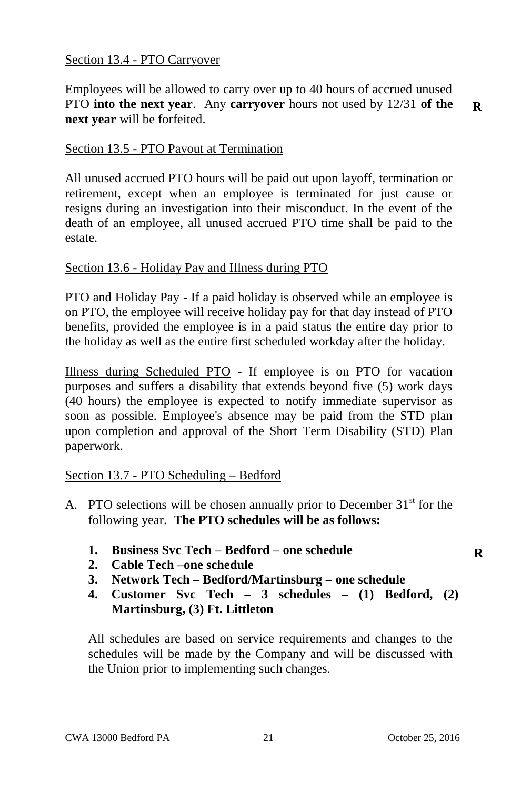### Section 13.4 - PTO Carryover

Employees will be allowed to carry over up to 40 hours of accrued unused PTO **into the next year**. Any **carryover** hours not used by 12/31 **of the next year** will be forfeited.

**R**

# Section 13.5 - PTO Payout at Termination

All unused accrued PTO hours will be paid out upon layoff, termination or retirement, except when an employee is terminated for just cause or resigns during an investigation into their misconduct. In the event of the death of an employee, all unused accrued PTO time shall be paid to the estate.

## Section 13.6 - Holiday Pay and Illness during PTO

PTO and Holiday Pay - If a paid holiday is observed while an employee is on PTO, the employee will receive holiday pay for that day instead of PTO benefits, provided the employee is in a paid status the entire day prior to the holiday as well as the entire first scheduled workday after the holiday.

Illness during Scheduled PTO - If employee is on PTO for vacation purposes and suffers a disability that extends beyond five (5) work days (40 hours) the employee is expected to notify immediate supervisor as soon as possible. Employee's absence may be paid from the STD plan upon completion and approval of the Short Term Disability (STD) Plan paperwork.

# Section 13.7 - PTO Scheduling – Bedford

- A. PTO selections will be chosen annually prior to December  $31<sup>st</sup>$  for the following year. **The PTO schedules will be as follows:**
	- **1. Business Svc Tech – Bedford – one schedule**
	- **2. Cable Tech –one schedule**
	- **3. Network Tech – Bedford/Martinsburg – one schedule**
	- **4. Customer Svc Tech – 3 schedules – (1) Bedford, (2) Martinsburg, (3) Ft. Littleton**

All schedules are based on service requirements and changes to the schedules will be made by the Company and will be discussed with the Union prior to implementing such changes.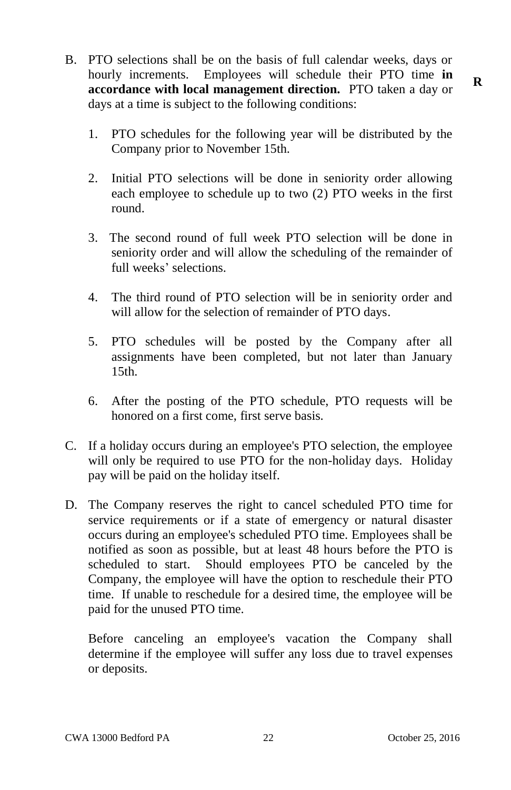- B. PTO selections shall be on the basis of full calendar weeks, days or hourly increments. Employees will schedule their PTO time **in accordance with local management direction.** PTO taken a day or days at a time is subject to the following conditions:
	- 1. PTO schedules for the following year will be distributed by the Company prior to November 15th.
	- 2. Initial PTO selections will be done in seniority order allowing each employee to schedule up to two (2) PTO weeks in the first round.
	- 3. The second round of full week PTO selection will be done in seniority order and will allow the scheduling of the remainder of full weeks' selections.
	- 4. The third round of PTO selection will be in seniority order and will allow for the selection of remainder of PTO days.
	- 5. PTO schedules will be posted by the Company after all assignments have been completed, but not later than January 15th.
	- 6. After the posting of the PTO schedule, PTO requests will be honored on a first come, first serve basis.
- C. If a holiday occurs during an employee's PTO selection, the employee will only be required to use PTO for the non-holiday days. Holiday pay will be paid on the holiday itself.
- D. The Company reserves the right to cancel scheduled PTO time for service requirements or if a state of emergency or natural disaster occurs during an employee's scheduled PTO time. Employees shall be notified as soon as possible, but at least 48 hours before the PTO is scheduled to start. Should employees PTO be canceled by the Company, the employee will have the option to reschedule their PTO time. If unable to reschedule for a desired time, the employee will be paid for the unused PTO time.

Before canceling an employee's vacation the Company shall determine if the employee will suffer any loss due to travel expenses or deposits.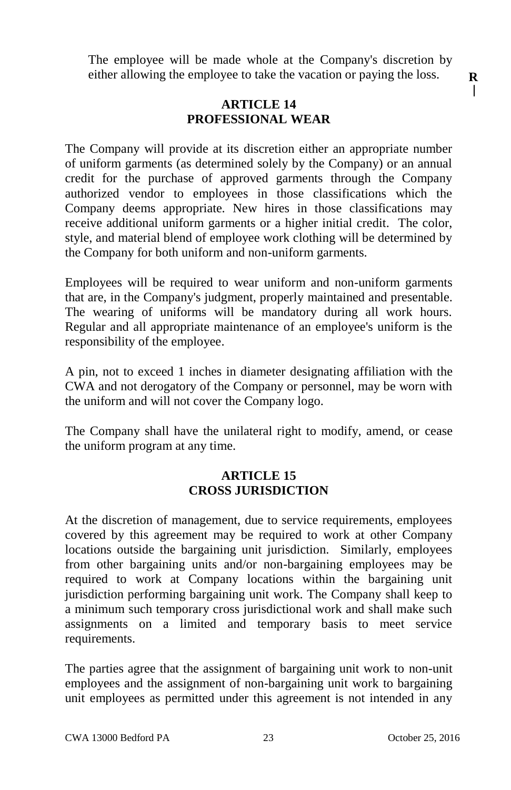The employee will be made whole at the Company's discretion by either allowing the employee to take the vacation or paying the loss.

## **ARTICLE 14 PROFESSIONAL WEAR**

The Company will provide at its discretion either an appropriate number of uniform garments (as determined solely by the Company) or an annual credit for the purchase of approved garments through the Company authorized vendor to employees in those classifications which the Company deems appropriate. New hires in those classifications may receive additional uniform garments or a higher initial credit. The color, style, and material blend of employee work clothing will be determined by the Company for both uniform and non-uniform garments.

Employees will be required to wear uniform and non-uniform garments that are, in the Company's judgment, properly maintained and presentable. The wearing of uniforms will be mandatory during all work hours. Regular and all appropriate maintenance of an employee's uniform is the responsibility of the employee.

A pin, not to exceed 1 inches in diameter designating affiliation with the CWA and not derogatory of the Company or personnel, may be worn with the uniform and will not cover the Company logo.

The Company shall have the unilateral right to modify, amend, or cease the uniform program at any time.

## **ARTICLE 15 CROSS JURISDICTION**

At the discretion of management, due to service requirements, employees covered by this agreement may be required to work at other Company locations outside the bargaining unit jurisdiction. Similarly, employees from other bargaining units and/or non-bargaining employees may be required to work at Company locations within the bargaining unit jurisdiction performing bargaining unit work. The Company shall keep to a minimum such temporary cross jurisdictional work and shall make such assignments on a limited and temporary basis to meet service requirements.

The parties agree that the assignment of bargaining unit work to non-unit employees and the assignment of non-bargaining unit work to bargaining unit employees as permitted under this agreement is not intended in any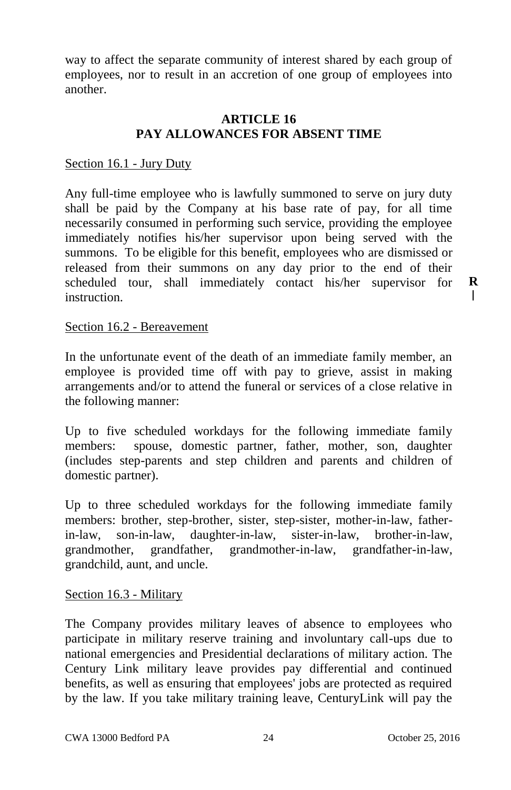way to affect the separate community of interest shared by each group of employees, nor to result in an accretion of one group of employees into another.

## **ARTICLE 16 PAY ALLOWANCES FOR ABSENT TIME**

#### Section 16.1 - Jury Duty

Any full-time employee who is lawfully summoned to serve on jury duty shall be paid by the Company at his base rate of pay, for all time necessarily consumed in performing such service, providing the employee immediately notifies his/her supervisor upon being served with the summons. To be eligible for this benefit, employees who are dismissed or released from their summons on any day prior to the end of their scheduled tour, shall immediately contact his/her supervisor for instruction.

#### Section 16.2 - Bereavement

In the unfortunate event of the death of an immediate family member, an employee is provided time off with pay to grieve, assist in making arrangements and/or to attend the funeral or services of a close relative in the following manner:

Up to five scheduled workdays for the following immediate family members: spouse, domestic partner, father, mother, son, daughter (includes step-parents and step children and parents and children of domestic partner).

Up to three scheduled workdays for the following immediate family members: brother, step-brother, sister, step-sister, mother-in-law, fatherin-law, son-in-law, daughter-in-law, sister-in-law, brother-in-law, grandmother, grandfather, grandmother-in-law, grandfather-in-law, grandchild, aunt, and uncle.

#### Section 16.3 - Military

The Company provides military leaves of absence to employees who participate in military reserve training and involuntary call-ups due to national emergencies and Presidential declarations of military action. The Century Link military leave provides pay differential and continued benefits, as well as ensuring that employees' jobs are protected as required by the law. If you take military training leave, CenturyLink will pay the

**R** $\mathsf{I}$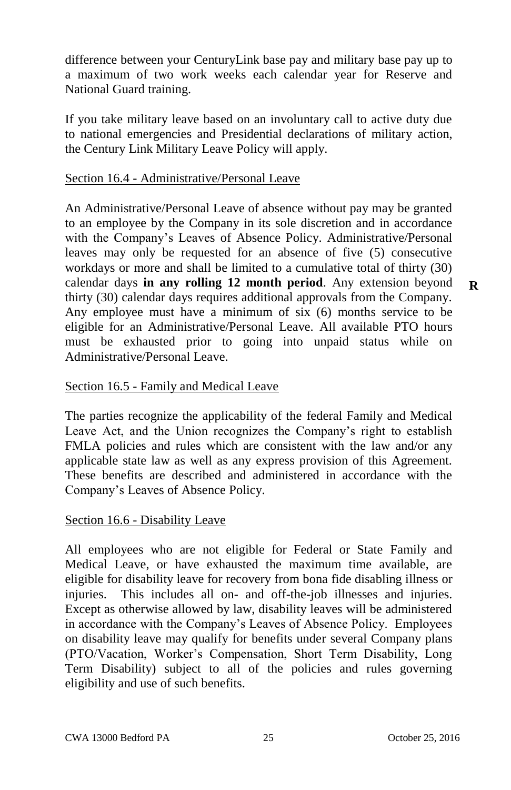difference between your CenturyLink base pay and military base pay up to a maximum of two work weeks each calendar year for Reserve and National Guard training.

If you take military leave based on an involuntary call to active duty due to national emergencies and Presidential declarations of military action, the Century Link Military Leave Policy will apply.

## Section 16.4 - Administrative/Personal Leave

An Administrative/Personal Leave of absence without pay may be granted to an employee by the Company in its sole discretion and in accordance with the Company's Leaves of Absence Policy. Administrative/Personal leaves may only be requested for an absence of five (5) consecutive workdays or more and shall be limited to a cumulative total of thirty (30) calendar days **in any rolling 12 month period**. Any extension beyond thirty (30) calendar days requires additional approvals from the Company. Any employee must have a minimum of six (6) months service to be eligible for an Administrative/Personal Leave. All available PTO hours must be exhausted prior to going into unpaid status while on Administrative/Personal Leave.

#### Section 16.5 - Family and Medical Leave

The parties recognize the applicability of the federal Family and Medical Leave Act, and the Union recognizes the Company's right to establish FMLA policies and rules which are consistent with the law and/or any applicable state law as well as any express provision of this Agreement. These benefits are described and administered in accordance with the Company's Leaves of Absence Policy.

#### Section 16.6 - Disability Leave

All employees who are not eligible for Federal or State Family and Medical Leave, or have exhausted the maximum time available, are eligible for disability leave for recovery from bona fide disabling illness or injuries. This includes all on- and off-the-job illnesses and injuries. Except as otherwise allowed by law, disability leaves will be administered in accordance with the Company's Leaves of Absence Policy. Employees on disability leave may qualify for benefits under several Company plans (PTO/Vacation, Worker's Compensation, Short Term Disability, Long Term Disability) subject to all of the policies and rules governing eligibility and use of such benefits.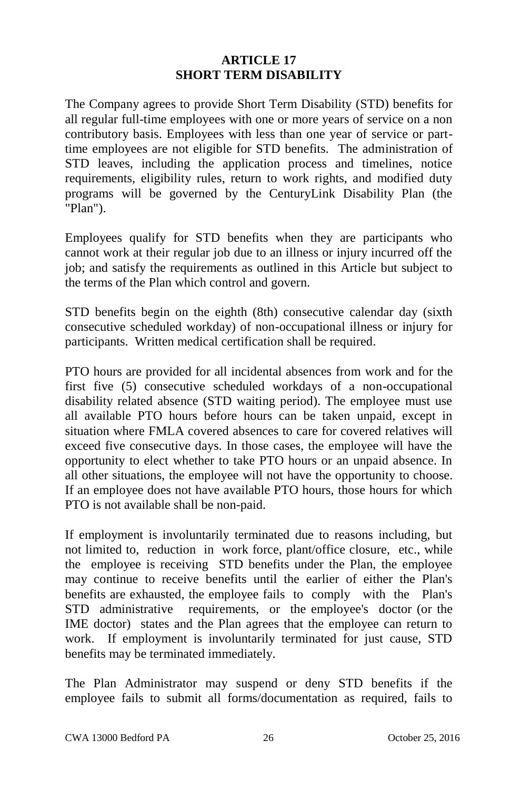# **ARTICLE 17 SHORT TERM DISABILITY**

The Company agrees to provide Short Term Disability (STD) benefits for all regular full-time employees with one or more years of service on a non contributory basis. Employees with less than one year of service or parttime employees are not eligible for STD benefits. The administration of STD leaves, including the application process and timelines, notice requirements, eligibility rules, return to work rights, and modified duty programs will be governed by the CenturyLink Disability Plan (the "Plan").

Employees qualify for STD benefits when they are participants who cannot work at their regular job due to an illness or injury incurred off the job; and satisfy the requirements as outlined in this Article but subject to the terms of the Plan which control and govern.

STD benefits begin on the eighth (8th) consecutive calendar day (sixth consecutive scheduled workday) of non-occupational illness or injury for participants. Written medical certification shall be required.

PTO hours are provided for all incidental absences from work and for the first five (5) consecutive scheduled workdays of a non-occupational disability related absence (STD waiting period). The employee must use all available PTO hours before hours can be taken unpaid, except in situation where FMLA covered absences to care for covered relatives will exceed five consecutive days. In those cases, the employee will have the opportunity to elect whether to take PTO hours or an unpaid absence. In all other situations, the employee will not have the opportunity to choose. If an employee does not have available PTO hours, those hours for which PTO is not available shall be non-paid.

If employment is involuntarily terminated due to reasons including, but not limited to, reduction in work force, plant/office closure, etc., while the employee is receiving STD benefits under the Plan, the employee may continue to receive benefits until the earlier of either the Plan's benefits are exhausted, the employee fails to comply with the Plan's STD administrative requirements, or the employee's doctor (or the IME doctor) states and the Plan agrees that the employee can return to work. If employment is involuntarily terminated for just cause, STD benefits may be terminated immediately.

The Plan Administrator may suspend or deny STD benefits if the employee fails to submit all forms/documentation as required, fails to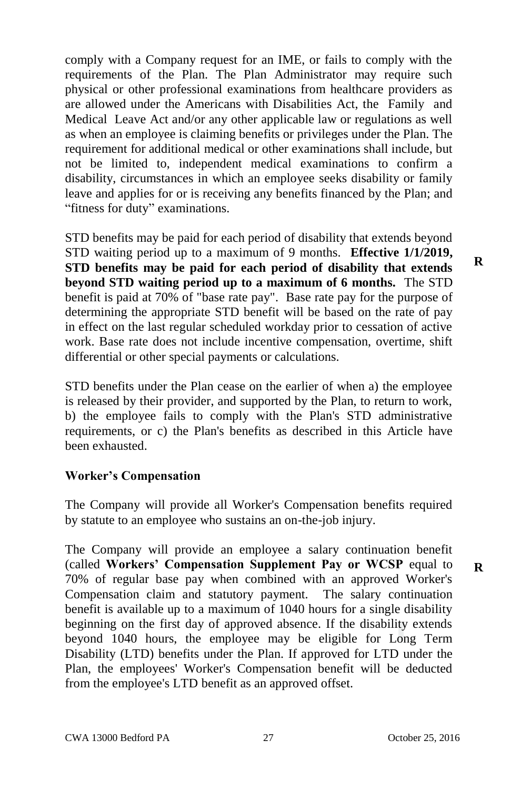comply with a Company request for an IME, or fails to comply with the requirements of the Plan. The Plan Administrator may require such physical or other professional examinations from healthcare providers as are allowed under the Americans with Disabilities Act, the Family and Medical Leave Act and/or any other applicable law or regulations as well as when an employee is claiming benefits or privileges under the Plan. The requirement for additional medical or other examinations shall include, but not be limited to, independent medical examinations to confirm a disability, circumstances in which an employee seeks disability or family leave and applies for or is receiving any benefits financed by the Plan; and "fitness for duty" examinations.

STD benefits may be paid for each period of disability that extends beyond STD waiting period up to a maximum of 9 months. **Effective 1/1/2019, STD benefits may be paid for each period of disability that extends beyond STD waiting period up to a maximum of 6 months.** The STD benefit is paid at 70% of "base rate pay". Base rate pay for the purpose of determining the appropriate STD benefit will be based on the rate of pay in effect on the last regular scheduled workday prior to cessation of active work. Base rate does not include incentive compensation, overtime, shift differential or other special payments or calculations.

STD benefits under the Plan cease on the earlier of when a) the employee is released by their provider, and supported by the Plan, to return to work, b) the employee fails to comply with the Plan's STD administrative requirements, or c) the Plan's benefits as described in this Article have been exhausted.

# **Worker's Compensation**

The Company will provide all Worker's Compensation benefits required by statute to an employee who sustains an on-the-job injury.

The Company will provide an employee a salary continuation benefit (called **Workers' Compensation Supplement Pay or WCSP** equal to 70% of regular base pay when combined with an approved Worker's Compensation claim and statutory payment. The salary continuation benefit is available up to a maximum of 1040 hours for a single disability beginning on the first day of approved absence. If the disability extends beyond 1040 hours, the employee may be eligible for Long Term Disability (LTD) benefits under the Plan. If approved for LTD under the Plan, the employees' Worker's Compensation benefit will be deducted from the employee's LTD benefit as an approved offset.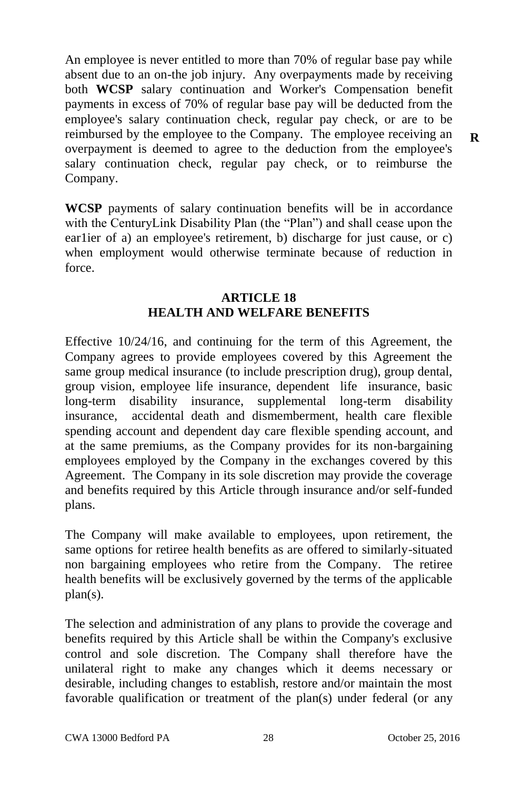An employee is never entitled to more than 70% of regular base pay while absent due to an on-the job injury. Any overpayments made by receiving both **WCSP** salary continuation and Worker's Compensation benefit payments in excess of 70% of regular base pay will be deducted from the employee's salary continuation check, regular pay check, or are to be reimbursed by the employee to the Company. The employee receiving an overpayment is deemed to agree to the deduction from the employee's salary continuation check, regular pay check, or to reimburse the Company.

**WCSP** payments of salary continuation benefits will be in accordance with the CenturyLink Disability Plan (the "Plan") and shall cease upon the ear1ier of a) an employee's retirement, b) discharge for just cause, or c) when employment would otherwise terminate because of reduction in force.

#### **ARTICLE 18 HEALTH AND WELFARE BENEFITS**

Effective 10/24/16, and continuing for the term of this Agreement, the Company agrees to provide employees covered by this Agreement the same group medical insurance (to include prescription drug), group dental, group vision, employee life insurance, dependent life insurance, basic long-term disability insurance, supplemental long-term disability insurance, accidental death and dismemberment, health care flexible spending account and dependent day care flexible spending account, and at the same premiums, as the Company provides for its non-bargaining employees employed by the Company in the exchanges covered by this Agreement. The Company in its sole discretion may provide the coverage and benefits required by this Article through insurance and/or self-funded plans.

The Company will make available to employees, upon retirement, the same options for retiree health benefits as are offered to similarly-situated non bargaining employees who retire from the Company. The retiree health benefits will be exclusively governed by the terms of the applicable plan(s).

The selection and administration of any plans to provide the coverage and benefits required by this Article shall be within the Company's exclusive control and sole discretion. The Company shall therefore have the unilateral right to make any changes which it deems necessary or desirable, including changes to establish, restore and/or maintain the most favorable qualification or treatment of the plan(s) under federal (or any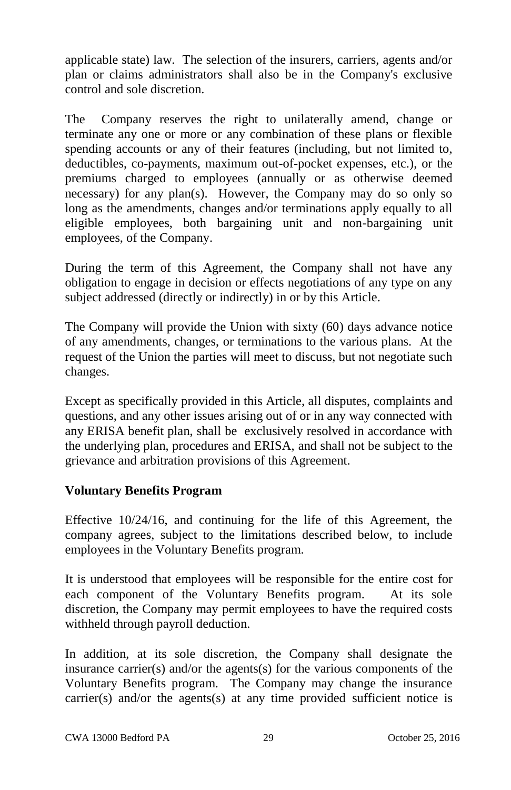applicable state) law. The selection of the insurers, carriers, agents and/or plan or claims administrators shall also be in the Company's exclusive control and sole discretion.

The Company reserves the right to unilaterally amend, change or terminate any one or more or any combination of these plans or flexible spending accounts or any of their features (including, but not limited to, deductibles, co-payments, maximum out-of-pocket expenses, etc.), or the premiums charged to employees (annually or as otherwise deemed necessary) for any plan(s). However, the Company may do so only so long as the amendments, changes and/or terminations apply equally to all eligible employees, both bargaining unit and non-bargaining unit employees, of the Company.

During the term of this Agreement, the Company shall not have any obligation to engage in decision or effects negotiations of any type on any subject addressed (directly or indirectly) in or by this Article.

The Company will provide the Union with sixty (60) days advance notice of any amendments, changes, or terminations to the various plans. At the request of the Union the parties will meet to discuss, but not negotiate such changes.

Except as specifically provided in this Article, all disputes, complaints and questions, and any other issues arising out of or in any way connected with any ERISA benefit plan, shall be exclusively resolved in accordance with the underlying plan, procedures and ERISA, and shall not be subject to the grievance and arbitration provisions of this Agreement.

# **Voluntary Benefits Program**

Effective 10/24/16, and continuing for the life of this Agreement, the company agrees, subject to the limitations described below, to include employees in the Voluntary Benefits program.

It is understood that employees will be responsible for the entire cost for each component of the Voluntary Benefits program. At its sole discretion, the Company may permit employees to have the required costs withheld through payroll deduction.

In addition, at its sole discretion, the Company shall designate the insurance carrier(s) and/or the agents(s) for the various components of the Voluntary Benefits program. The Company may change the insurance carrier(s) and/or the agents(s) at any time provided sufficient notice is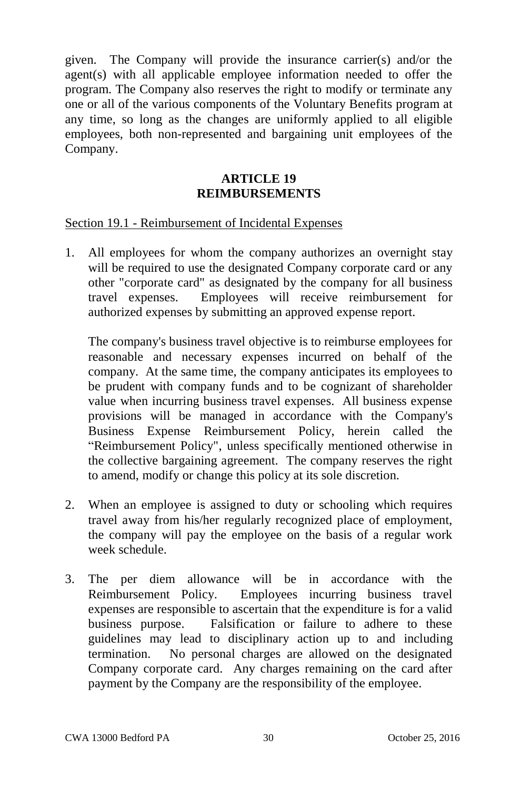given. The Company will provide the insurance carrier(s) and/or the agent(s) with all applicable employee information needed to offer the program. The Company also reserves the right to modify or terminate any one or all of the various components of the Voluntary Benefits program at any time, so long as the changes are uniformly applied to all eligible employees, both non-represented and bargaining unit employees of the Company.

## **ARTICLE 19 REIMBURSEMENTS**

#### Section 19.1 - Reimbursement of Incidental Expenses

1. All employees for whom the company authorizes an overnight stay will be required to use the designated Company corporate card or any other "corporate card" as designated by the company for all business travel expenses. Employees will receive reimbursement for authorized expenses by submitting an approved expense report.

The company's business travel objective is to reimburse employees for reasonable and necessary expenses incurred on behalf of the company. At the same time, the company anticipates its employees to be prudent with company funds and to be cognizant of shareholder value when incurring business travel expenses. All business expense provisions will be managed in accordance with the Company's Business Expense Reimbursement Policy, herein called the "Reimbursement Policy", unless specifically mentioned otherwise in the collective bargaining agreement. The company reserves the right to amend, modify or change this policy at its sole discretion.

- 2. When an employee is assigned to duty or schooling which requires travel away from his/her regularly recognized place of employment, the company will pay the employee on the basis of a regular work week schedule.
- 3. The per diem allowance will be in accordance with the Reimbursement Policy. Employees incurring business travel expenses are responsible to ascertain that the expenditure is for a valid business purpose. Falsification or failure to adhere to these guidelines may lead to disciplinary action up to and including termination. No personal charges are allowed on the designated Company corporate card. Any charges remaining on the card after payment by the Company are the responsibility of the employee.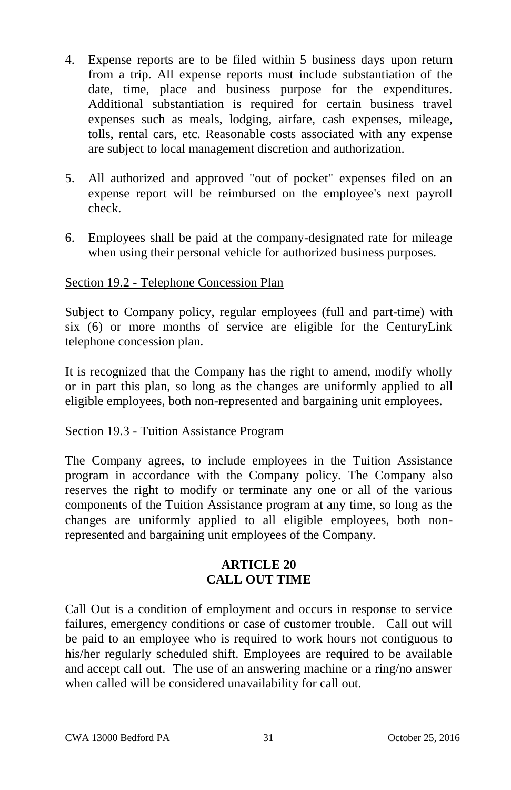- 4. Expense reports are to be filed within 5 business days upon return from a trip. All expense reports must include substantiation of the date, time, place and business purpose for the expenditures. Additional substantiation is required for certain business travel expenses such as meals, lodging, airfare, cash expenses, mileage, tolls, rental cars, etc. Reasonable costs associated with any expense are subject to local management discretion and authorization.
- 5. All authorized and approved "out of pocket" expenses filed on an expense report will be reimbursed on the employee's next payroll check.
- 6. Employees shall be paid at the company-designated rate for mileage when using their personal vehicle for authorized business purposes.

# Section 19.2 - Telephone Concession Plan

Subject to Company policy, regular employees (full and part-time) with six (6) or more months of service are eligible for the CenturyLink telephone concession plan.

It is recognized that the Company has the right to amend, modify wholly or in part this plan, so long as the changes are uniformly applied to all eligible employees, both non-represented and bargaining unit employees.

#### Section 19.3 - Tuition Assistance Program

The Company agrees, to include employees in the Tuition Assistance program in accordance with the Company policy. The Company also reserves the right to modify or terminate any one or all of the various components of the Tuition Assistance program at any time, so long as the changes are uniformly applied to all eligible employees, both nonrepresented and bargaining unit employees of the Company.

# **ARTICLE 20 CALL OUT TIME**

Call Out is a condition of employment and occurs in response to service failures, emergency conditions or case of customer trouble. Call out will be paid to an employee who is required to work hours not contiguous to his/her regularly scheduled shift. Employees are required to be available and accept call out. The use of an answering machine or a ring/no answer when called will be considered unavailability for call out.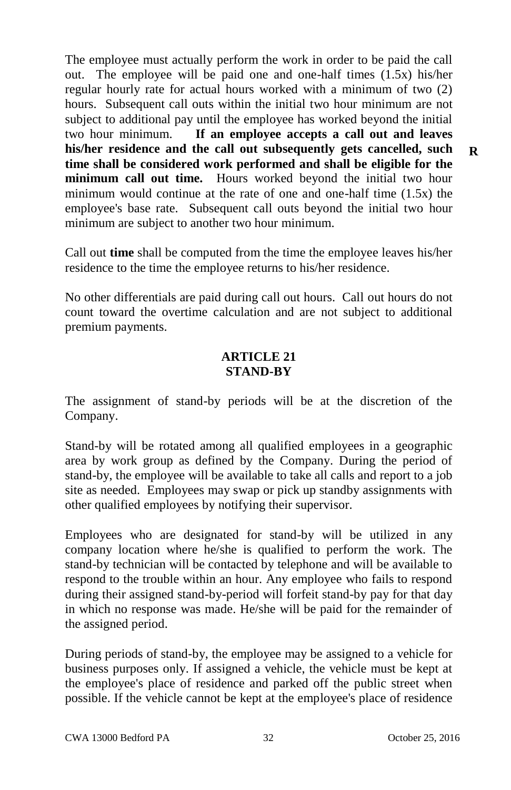The employee must actually perform the work in order to be paid the call out. The employee will be paid one and one-half times (1.5x) his/her regular hourly rate for actual hours worked with a minimum of two (2) hours. Subsequent call outs within the initial two hour minimum are not subject to additional pay until the employee has worked beyond the initial two hour minimum. **If an employee accepts a call out and leaves his/her residence and the call out subsequently gets cancelled, such time shall be considered work performed and shall be eligible for the minimum call out time.** Hours worked beyond the initial two hour minimum would continue at the rate of one and one-half time (1.5x) the employee's base rate. Subsequent call outs beyond the initial two hour minimum are subject to another two hour minimum.

Call out **time** shall be computed from the time the employee leaves his/her residence to the time the employee returns to his/her residence.

No other differentials are paid during call out hours. Call out hours do not count toward the overtime calculation and are not subject to additional premium payments.

## **ARTICLE 21 STAND-BY**

The assignment of stand-by periods will be at the discretion of the Company.

Stand-by will be rotated among all qualified employees in a geographic area by work group as defined by the Company. During the period of stand-by, the employee will be available to take all calls and report to a job site as needed. Employees may swap or pick up standby assignments with other qualified employees by notifying their supervisor.

Employees who are designated for stand-by will be utilized in any company location where he/she is qualified to perform the work. The stand-by technician will be contacted by telephone and will be available to respond to the trouble within an hour. Any employee who fails to respond during their assigned stand-by-period will forfeit stand-by pay for that day in which no response was made. He/she will be paid for the remainder of the assigned period.

During periods of stand-by, the employee may be assigned to a vehicle for business purposes only. If assigned a vehicle, the vehicle must be kept at the employee's place of residence and parked off the public street when possible. If the vehicle cannot be kept at the employee's place of residence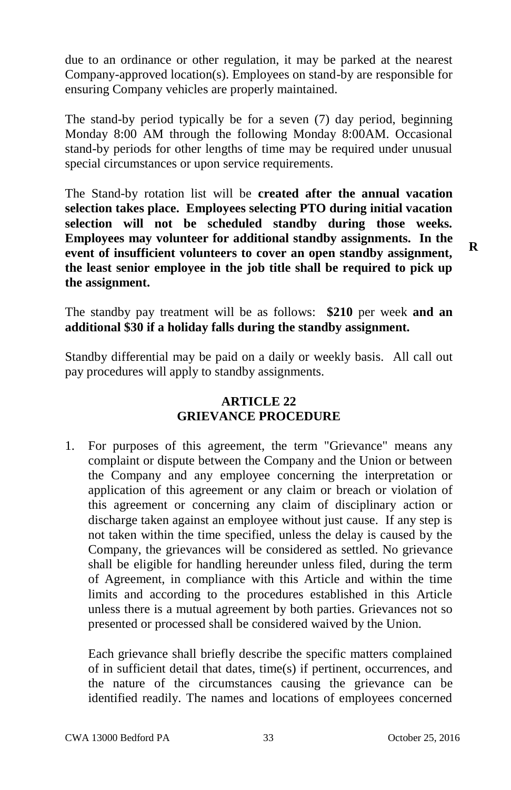due to an ordinance or other regulation, it may be parked at the nearest Company-approved location(s). Employees on stand-by are responsible for ensuring Company vehicles are properly maintained.

The stand-by period typically be for a seven (7) day period, beginning Monday 8:00 AM through the following Monday 8:00AM. Occasional stand-by periods for other lengths of time may be required under unusual special circumstances or upon service requirements.

The Stand-by rotation list will be **created after the annual vacation selection takes place. Employees selecting PTO during initial vacation selection will not be scheduled standby during those weeks. Employees may volunteer for additional standby assignments. In the event of insufficient volunteers to cover an open standby assignment, the least senior employee in the job title shall be required to pick up the assignment.** 

The standby pay treatment will be as follows: **\$210** per week **and an additional \$30 if a holiday falls during the standby assignment.** 

Standby differential may be paid on a daily or weekly basis. All call out pay procedures will apply to standby assignments.

## **ARTICLE 22 GRIEVANCE PROCEDURE**

1. For purposes of this agreement, the term "Grievance" means any complaint or dispute between the Company and the Union or between the Company and any employee concerning the interpretation or application of this agreement or any claim or breach or violation of this agreement or concerning any claim of disciplinary action or discharge taken against an employee without just cause. If any step is not taken within the time specified, unless the delay is caused by the Company, the grievances will be considered as settled. No grievance shall be eligible for handling hereunder unless filed, during the term of Agreement, in compliance with this Article and within the time limits and according to the procedures established in this Article unless there is a mutual agreement by both parties. Grievances not so presented or processed shall be considered waived by the Union.

Each grievance shall briefly describe the specific matters complained of in sufficient detail that dates, time(s) if pertinent, occurrences, and the nature of the circumstances causing the grievance can be identified readily. The names and locations of employees concerned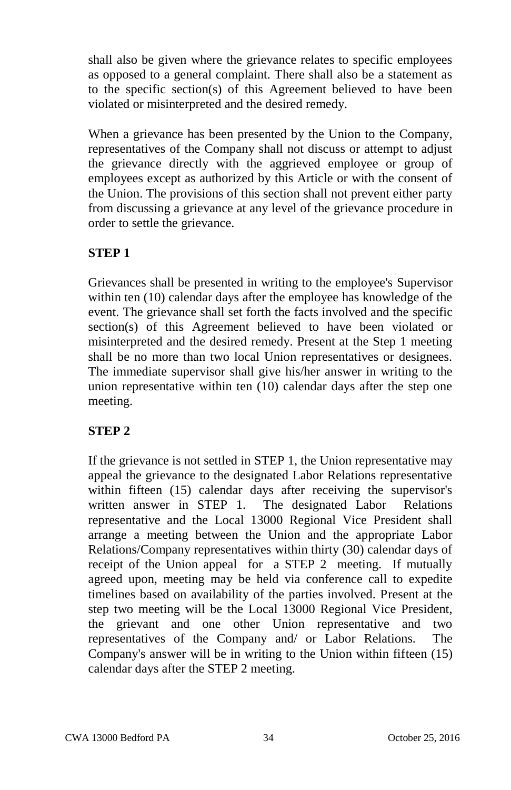shall also be given where the grievance relates to specific employees as opposed to a general complaint. There shall also be a statement as to the specific section(s) of this Agreement believed to have been violated or misinterpreted and the desired remedy.

When a grievance has been presented by the Union to the Company, representatives of the Company shall not discuss or attempt to adjust the grievance directly with the aggrieved employee or group of employees except as authorized by this Article or with the consent of the Union. The provisions of this section shall not prevent either party from discussing a grievance at any level of the grievance procedure in order to settle the grievance.

# **STEP 1**

Grievances shall be presented in writing to the employee's Supervisor within ten (10) calendar days after the employee has knowledge of the event. The grievance shall set forth the facts involved and the specific section(s) of this Agreement believed to have been violated or misinterpreted and the desired remedy. Present at the Step 1 meeting shall be no more than two local Union representatives or designees. The immediate supervisor shall give his/her answer in writing to the union representative within ten (10) calendar days after the step one meeting.

# **STEP 2**

If the grievance is not settled in STEP 1, the Union representative may appeal the grievance to the designated Labor Relations representative within fifteen (15) calendar days after receiving the supervisor's written answer in STEP 1. The designated Labor Relations representative and the Local 13000 Regional Vice President shall arrange a meeting between the Union and the appropriate Labor Relations/Company representatives within thirty (30) calendar days of receipt of the Union appeal for a STEP 2 meeting. If mutually agreed upon, meeting may be held via conference call to expedite timelines based on availability of the parties involved. Present at the step two meeting will be the Local 13000 Regional Vice President, the grievant and one other Union representative and two representatives of the Company and/ or Labor Relations. The Company's answer will be in writing to the Union within fifteen (15) calendar days after the STEP 2 meeting.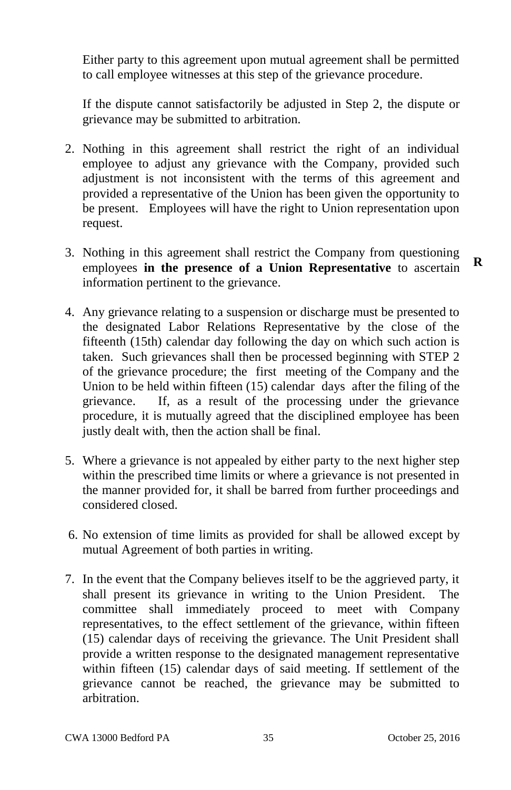Either party to this agreement upon mutual agreement shall be permitted to call employee witnesses at this step of the grievance procedure.

If the dispute cannot satisfactorily be adjusted in Step 2, the dispute or grievance may be submitted to arbitration.

- 2. Nothing in this agreement shall restrict the right of an individual employee to adjust any grievance with the Company, provided such adjustment is not inconsistent with the terms of this agreement and provided a representative of the Union has been given the opportunity to be present. Employees will have the right to Union representation upon request.
- 3. Nothing in this agreement shall restrict the Company from questioning employees **in the presence of a Union Representative** to ascertain information pertinent to the grievance.
- 4. Any grievance relating to a suspension or discharge must be presented to the designated Labor Relations Representative by the close of the fifteenth (15th) calendar day following the day on which such action is taken. Such grievances shall then be processed beginning with STEP 2 of the grievance procedure; the first meeting of the Company and the Union to be held within fifteen (15) calendar days after the filing of the grievance. If, as a result of the processing under the grievance procedure, it is mutually agreed that the disciplined employee has been justly dealt with, then the action shall be final.
- 5. Where a grievance is not appealed by either party to the next higher step within the prescribed time limits or where a grievance is not presented in the manner provided for, it shall be barred from further proceedings and considered closed.
- 6. No extension of time limits as provided for shall be allowed except by mutual Agreement of both parties in writing.
- 7. In the event that the Company believes itself to be the aggrieved party, it shall present its grievance in writing to the Union President. The committee shall immediately proceed to meet with Company representatives, to the effect settlement of the grievance, within fifteen (15) calendar days of receiving the grievance. The Unit President shall provide a written response to the designated management representative within fifteen (15) calendar days of said meeting. If settlement of the grievance cannot be reached, the grievance may be submitted to arbitration.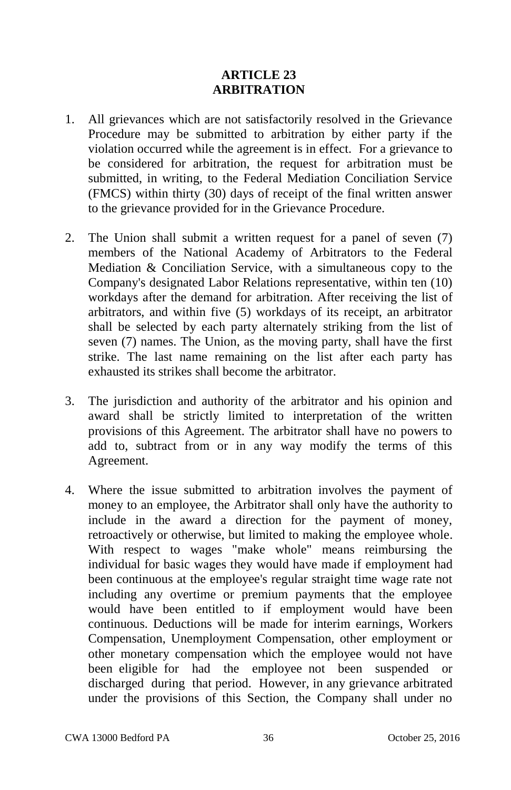# **ARTICLE 23 ARBITRATION**

- 1. All grievances which are not satisfactorily resolved in the Grievance Procedure may be submitted to arbitration by either party if the violation occurred while the agreement is in effect. For a grievance to be considered for arbitration, the request for arbitration must be submitted, in writing, to the Federal Mediation Conciliation Service (FMCS) within thirty (30) days of receipt of the final written answer to the grievance provided for in the Grievance Procedure.
- 2. The Union shall submit a written request for a panel of seven (7) members of the National Academy of Arbitrators to the Federal Mediation & Conciliation Service, with a simultaneous copy to the Company's designated Labor Relations representative, within ten (10) workdays after the demand for arbitration. After receiving the list of arbitrators, and within five (5) workdays of its receipt, an arbitrator shall be selected by each party alternately striking from the list of seven (7) names. The Union, as the moving party, shall have the first strike. The last name remaining on the list after each party has exhausted its strikes shall become the arbitrator.
- 3. The jurisdiction and authority of the arbitrator and his opinion and award shall be strictly limited to interpretation of the written provisions of this Agreement. The arbitrator shall have no powers to add to, subtract from or in any way modify the terms of this Agreement.
- 4. Where the issue submitted to arbitration involves the payment of money to an employee, the Arbitrator shall only have the authority to include in the award a direction for the payment of money, retroactively or otherwise, but limited to making the employee whole. With respect to wages "make whole" means reimbursing the individual for basic wages they would have made if employment had been continuous at the employee's regular straight time wage rate not including any overtime or premium payments that the employee would have been entitled to if employment would have been continuous. Deductions will be made for interim earnings, Workers Compensation, Unemployment Compensation, other employment or other monetary compensation which the employee would not have been eligible for had the employee not been suspended or discharged during that period. However, in any grievance arbitrated under the provisions of this Section, the Company shall under no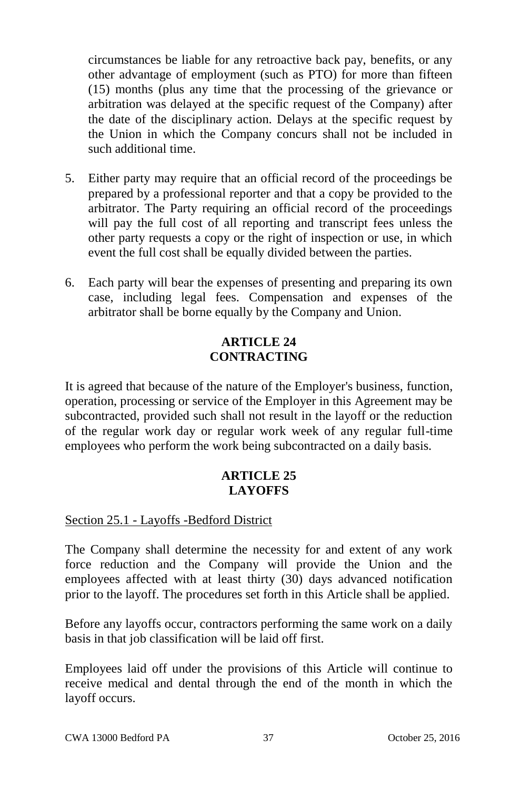circumstances be liable for any retroactive back pay, benefits, or any other advantage of employment (such as PTO) for more than fifteen (15) months (plus any time that the processing of the grievance or arbitration was delayed at the specific request of the Company) after the date of the disciplinary action. Delays at the specific request by the Union in which the Company concurs shall not be included in such additional time.

- 5. Either party may require that an official record of the proceedings be prepared by a professional reporter and that a copy be provided to the arbitrator. The Party requiring an official record of the proceedings will pay the full cost of all reporting and transcript fees unless the other party requests a copy or the right of inspection or use, in which event the full cost shall be equally divided between the parties.
- 6. Each party will bear the expenses of presenting and preparing its own case, including legal fees. Compensation and expenses of the arbitrator shall be borne equally by the Company and Union.

# **ARTICLE 24 CONTRACTING**

It is agreed that because of the nature of the Employer's business, function, operation, processing or service of the Employer in this Agreement may be subcontracted, provided such shall not result in the layoff or the reduction of the regular work day or regular work week of any regular full-time employees who perform the work being subcontracted on a daily basis.

# **ARTICLE 25 LAYOFFS**

# Section 25.1 - Layoffs -Bedford District

The Company shall determine the necessity for and extent of any work force reduction and the Company will provide the Union and the employees affected with at least thirty (30) days advanced notification prior to the layoff. The procedures set forth in this Article shall be applied.

Before any layoffs occur, contractors performing the same work on a daily basis in that job classification will be laid off first.

Employees laid off under the provisions of this Article will continue to receive medical and dental through the end of the month in which the layoff occurs.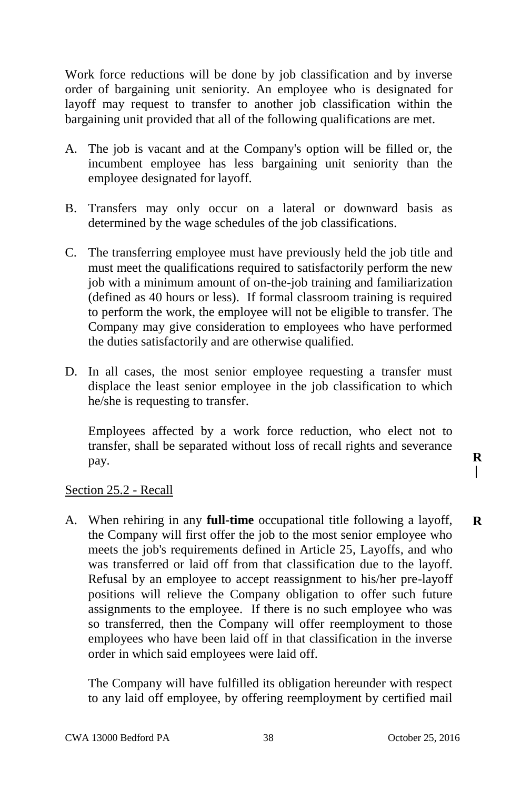Work force reductions will be done by job classification and by inverse order of bargaining unit seniority. An employee who is designated for layoff may request to transfer to another job classification within the bargaining unit provided that all of the following qualifications are met.

- A. The job is vacant and at the Company's option will be filled or, the incumbent employee has less bargaining unit seniority than the employee designated for layoff.
- B. Transfers may only occur on a lateral or downward basis as determined by the wage schedules of the job classifications.
- C. The transferring employee must have previously held the job title and must meet the qualifications required to satisfactorily perform the new job with a minimum amount of on-the-job training and familiarization (defined as 40 hours or less). If formal classroom training is required to perform the work, the employee will not be eligible to transfer. The Company may give consideration to employees who have performed the duties satisfactorily and are otherwise qualified.
- D. In all cases, the most senior employee requesting a transfer must displace the least senior employee in the job classification to which he/she is requesting to transfer.

Employees affected by a work force reduction, who elect not to transfer, shall be separated without loss of recall rights and severance pay.

Section 25.2 - Recall

A. When rehiring in any **full-time** occupational title following a layoff, the Company will first offer the job to the most senior employee who meets the job's requirements defined in Article 25, Layoffs, and who was transferred or laid off from that classification due to the layoff. Refusal by an employee to accept reassignment to his/her pre-layoff positions will relieve the Company obligation to offer such future assignments to the employee. If there is no such employee who was so transferred, then the Company will offer reemployment to those employees who have been laid off in that classification in the inverse order in which said employees were laid off.

The Company will have fulfilled its obligation hereunder with respect to any laid off employee, by offering reemployment by certified mail **R**

**R** $\overline{\phantom{a}}$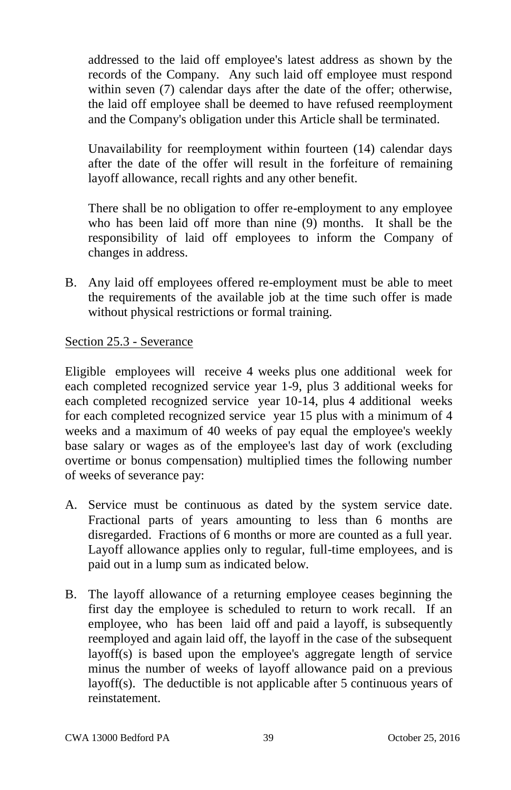addressed to the laid off employee's latest address as shown by the records of the Company. Any such laid off employee must respond within seven (7) calendar days after the date of the offer; otherwise, the laid off employee shall be deemed to have refused reemployment and the Company's obligation under this Article shall be terminated.

Unavailability for reemployment within fourteen (14) calendar days after the date of the offer will result in the forfeiture of remaining layoff allowance, recall rights and any other benefit.

There shall be no obligation to offer re-employment to any employee who has been laid off more than nine (9) months. It shall be the responsibility of laid off employees to inform the Company of changes in address.

B. Any laid off employees offered re-employment must be able to meet the requirements of the available job at the time such offer is made without physical restrictions or formal training.

## Section 25.3 - Severance

Eligible employees will receive 4 weeks plus one additional week for each completed recognized service year 1-9, plus 3 additional weeks for each completed recognized service year 10-14, plus 4 additional weeks for each completed recognized service year 15 plus with a minimum of 4 weeks and a maximum of 40 weeks of pay equal the employee's weekly base salary or wages as of the employee's last day of work (excluding overtime or bonus compensation) multiplied times the following number of weeks of severance pay:

- A. Service must be continuous as dated by the system service date. Fractional parts of years amounting to less than 6 months are disregarded. Fractions of 6 months or more are counted as a full year. Layoff allowance applies only to regular, full-time employees, and is paid out in a lump sum as indicated below.
- B. The layoff allowance of a returning employee ceases beginning the first day the employee is scheduled to return to work recall. If an employee, who has been laid off and paid a layoff, is subsequently reemployed and again laid off, the layoff in the case of the subsequent layoff(s) is based upon the employee's aggregate length of service minus the number of weeks of layoff allowance paid on a previous layoff(s). The deductible is not applicable after 5 continuous years of reinstatement.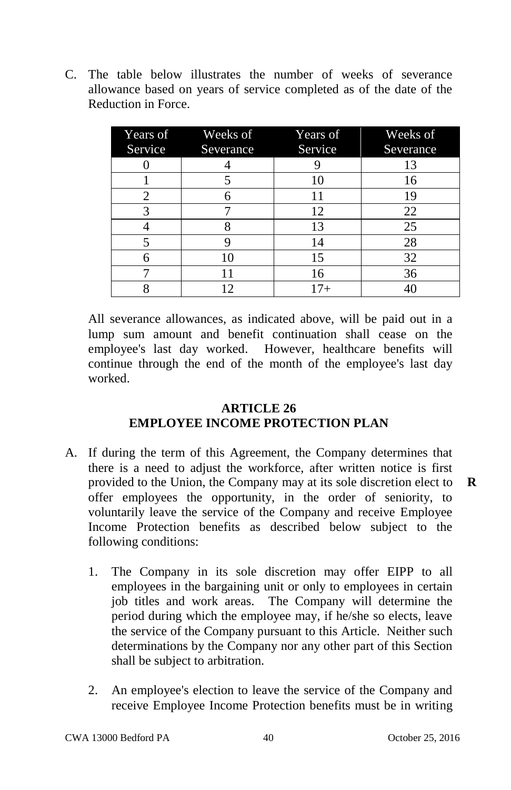C. The table below illustrates the number of weeks of severance allowance based on years of service completed as of the date of the Reduction in Force.

|         | Years of Weeks of | <b>Years of</b> | Weeks of  |
|---------|-------------------|-----------------|-----------|
| Service | Severance         | Service         | Severance |
|         |                   |                 | 13        |
|         |                   | 10              | 16        |
| 2       |                   | 11              | 19        |
| 3       |                   | 12              | 22        |
|         |                   | 13              | 25        |
| 5       |                   | 14              | 28        |
|         | 10                | 15              | 32        |
|         |                   | 16              | 36        |
|         | 12                | $17 +$          | 40        |

All severance allowances, as indicated above, will be paid out in a lump sum amount and benefit continuation shall cease on the employee's last day worked. However, healthcare benefits will continue through the end of the month of the employee's last day worked.

# **ARTICLE 26 EMPLOYEE INCOME PROTECTION PLAN**

- A. If during the term of this Agreement, the Company determines that there is a need to adjust the workforce, after written notice is first provided to the Union, the Company may at its sole discretion elect to offer employees the opportunity, in the order of seniority, to voluntarily leave the service of the Company and receive Employee Income Protection benefits as described below subject to the following conditions:
	- 1. The Company in its sole discretion may offer EIPP to all employees in the bargaining unit or only to employees in certain job titles and work areas. The Company will determine the period during which the employee may, if he/she so elects, leave the service of the Company pursuant to this Article. Neither such determinations by the Company nor any other part of this Section shall be subject to arbitration.
	- 2. An employee's election to leave the service of the Company and receive Employee Income Protection benefits must be in writing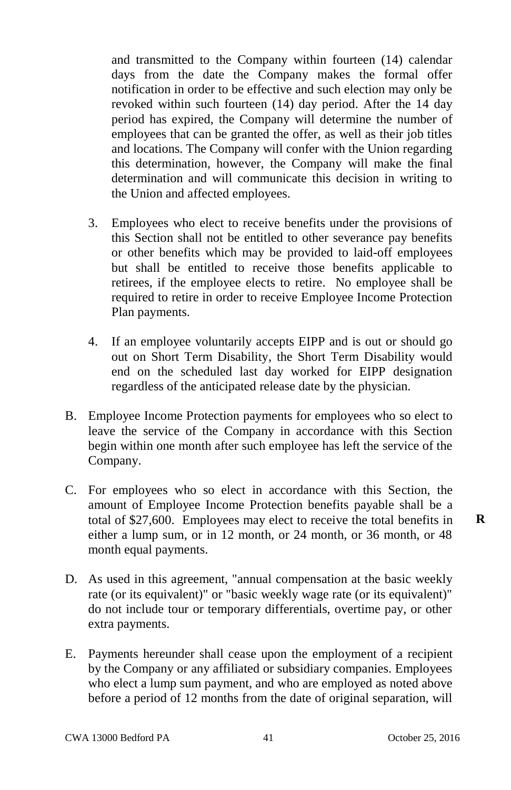and transmitted to the Company within fourteen (14) calendar days from the date the Company makes the formal offer notification in order to be effective and such election may only be revoked within such fourteen (14) day period. After the 14 day period has expired, the Company will determine the number of employees that can be granted the offer, as well as their job titles and locations. The Company will confer with the Union regarding this determination, however, the Company will make the final determination and will communicate this decision in writing to the Union and affected employees.

- 3. Employees who elect to receive benefits under the provisions of this Section shall not be entitled to other severance pay benefits or other benefits which may be provided to laid-off employees but shall be entitled to receive those benefits applicable to retirees, if the employee elects to retire. No employee shall be required to retire in order to receive Employee Income Protection Plan payments.
- 4. If an employee voluntarily accepts EIPP and is out or should go out on Short Term Disability, the Short Term Disability would end on the scheduled last day worked for EIPP designation regardless of the anticipated release date by the physician.
- B. Employee Income Protection payments for employees who so elect to leave the service of the Company in accordance with this Section begin within one month after such employee has left the service of the Company.
- C. For employees who so elect in accordance with this Section, the amount of Employee Income Protection benefits payable shall be a total of \$27,600. Employees may elect to receive the total benefits in either a lump sum, or in 12 month, or 24 month, or 36 month, or 48 month equal payments.
- D. As used in this agreement, "annual compensation at the basic weekly rate (or its equivalent)" or "basic weekly wage rate (or its equivalent)" do not include tour or temporary differentials, overtime pay, or other extra payments.
- E. Payments hereunder shall cease upon the employment of a recipient by the Company or any affiliated or subsidiary companies. Employees who elect a lump sum payment, and who are employed as noted above before a period of 12 months from the date of original separation, will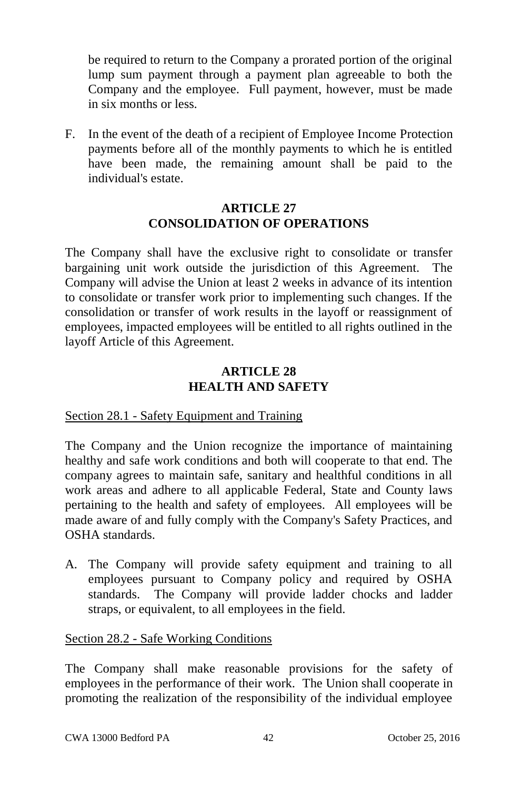be required to return to the Company a prorated portion of the original lump sum payment through a payment plan agreeable to both the Company and the employee. Full payment, however, must be made in six months or less.

F. In the event of the death of a recipient of Employee Income Protection payments before all of the monthly payments to which he is entitled have been made, the remaining amount shall be paid to the individual's estate.

## **ARTICLE 27 CONSOLIDATION OF OPERATIONS**

The Company shall have the exclusive right to consolidate or transfer bargaining unit work outside the jurisdiction of this Agreement. The Company will advise the Union at least 2 weeks in advance of its intention to consolidate or transfer work prior to implementing such changes. If the consolidation or transfer of work results in the layoff or reassignment of employees, impacted employees will be entitled to all rights outlined in the layoff Article of this Agreement.

# **ARTICLE 28 HEALTH AND SAFETY**

# Section 28.1 - Safety Equipment and Training

The Company and the Union recognize the importance of maintaining healthy and safe work conditions and both will cooperate to that end. The company agrees to maintain safe, sanitary and healthful conditions in all work areas and adhere to all applicable Federal, State and County laws pertaining to the health and safety of employees. All employees will be made aware of and fully comply with the Company's Safety Practices, and OSHA standards.

A. The Company will provide safety equipment and training to all employees pursuant to Company policy and required by OSHA standards. The Company will provide ladder chocks and ladder straps, or equivalent, to all employees in the field.

## Section 28.2 - Safe Working Conditions

The Company shall make reasonable provisions for the safety of employees in the performance of their work. The Union shall cooperate in promoting the realization of the responsibility of the individual employee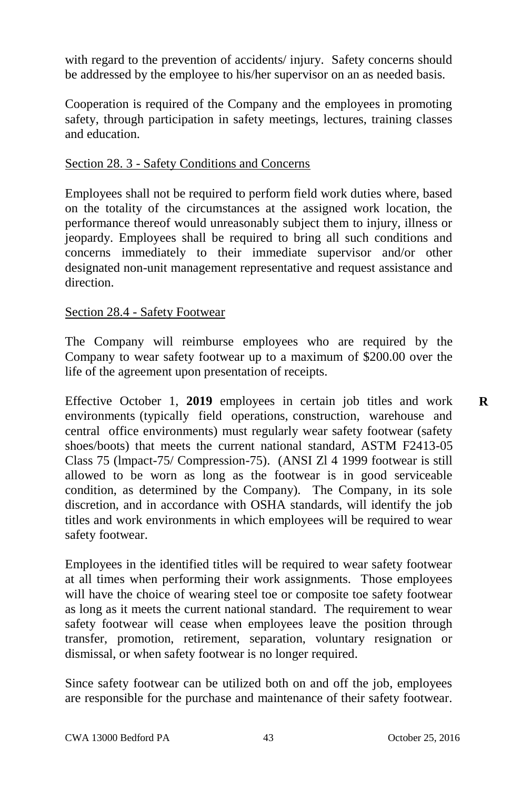with regard to the prevention of accidents/ injury. Safety concerns should be addressed by the employee to his/her supervisor on an as needed basis.

Cooperation is required of the Company and the employees in promoting safety, through participation in safety meetings, lectures, training classes and education.

## Section 28. 3 - Safety Conditions and Concerns

Employees shall not be required to perform field work duties where, based on the totality of the circumstances at the assigned work location, the performance thereof would unreasonably subject them to injury, illness or jeopardy. Employees shall be required to bring all such conditions and concerns immediately to their immediate supervisor and/or other designated non-unit management representative and request assistance and direction.

#### Section 28.4 - Safety Footwear

The Company will reimburse employees who are required by the Company to wear safety footwear up to a maximum of \$200.00 over the life of the agreement upon presentation of receipts.

Effective October 1, **2019** employees in certain job titles and work environments (typically field operations, construction, warehouse and central office environments) must regularly wear safety footwear (safety shoes/boots) that meets the current national standard, ASTM F2413-05 Class 75 (lmpact-75/ Compression-75). (ANSI Zl 4 1999 footwear is still allowed to be worn as long as the footwear is in good serviceable condition, as determined by the Company). The Company, in its sole discretion, and in accordance with OSHA standards, will identify the job titles and work environments in which employees will be required to wear safety footwear.

Employees in the identified titles will be required to wear safety footwear at all times when performing their work assignments. Those employees will have the choice of wearing steel toe or composite toe safety footwear as long as it meets the current national standard. The requirement to wear safety footwear will cease when employees leave the position through transfer, promotion, retirement, separation, voluntary resignation or dismissal, or when safety footwear is no longer required.

Since safety footwear can be utilized both on and off the job, employees are responsible for the purchase and maintenance of their safety footwear.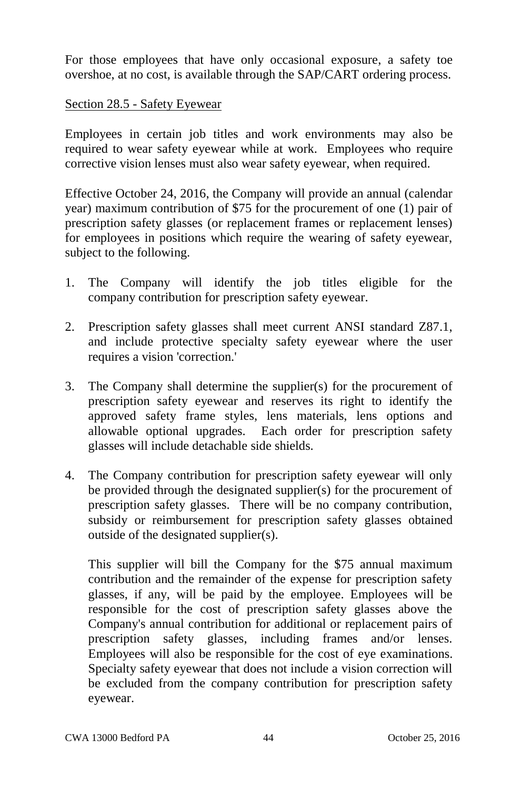For those employees that have only occasional exposure, a safety toe overshoe, at no cost, is available through the SAP/CART ordering process.

### Section 28.5 - Safety Eyewear

Employees in certain job titles and work environments may also be required to wear safety eyewear while at work. Employees who require corrective vision lenses must also wear safety eyewear, when required.

Effective October 24, 2016, the Company will provide an annual (calendar year) maximum contribution of \$75 for the procurement of one (1) pair of prescription safety glasses (or replacement frames or replacement lenses) for employees in positions which require the wearing of safety eyewear, subject to the following.

- 1. The Company will identify the job titles eligible for the company contribution for prescription safety eyewear.
- 2. Prescription safety glasses shall meet current ANSI standard Z87.1, and include protective specialty safety eyewear where the user requires a vision 'correction.'
- 3. The Company shall determine the supplier(s) for the procurement of prescription safety eyewear and reserves its right to identify the approved safety frame styles, lens materials, lens options and allowable optional upgrades. Each order for prescription safety glasses will include detachable side shields.
- 4. The Company contribution for prescription safety eyewear will only be provided through the designated supplier(s) for the procurement of prescription safety glasses. There will be no company contribution, subsidy or reimbursement for prescription safety glasses obtained outside of the designated supplier(s).

This supplier will bill the Company for the \$75 annual maximum contribution and the remainder of the expense for prescription safety glasses, if any, will be paid by the employee. Employees will be responsible for the cost of prescription safety glasses above the Company's annual contribution for additional or replacement pairs of prescription safety glasses, including frames and/or lenses. Employees will also be responsible for the cost of eye examinations. Specialty safety eyewear that does not include a vision correction will be excluded from the company contribution for prescription safety eyewear.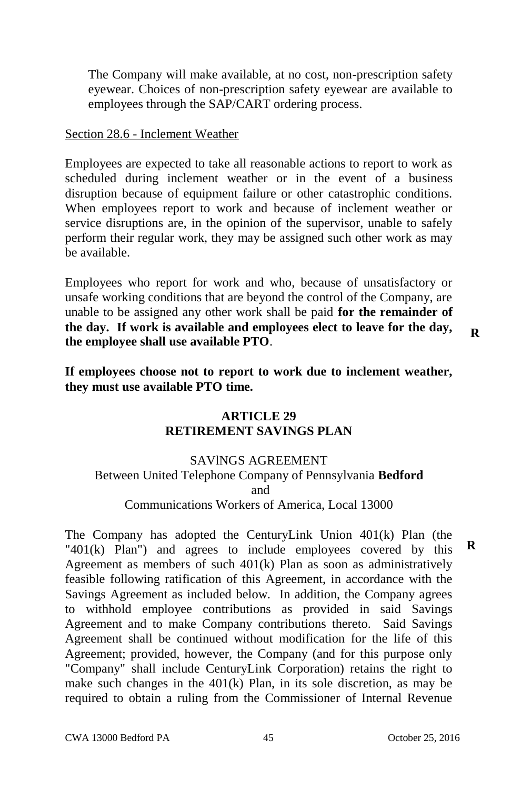The Company will make available, at no cost, non-prescription safety eyewear. Choices of non-prescription safety eyewear are available to employees through the SAP/CART ordering process.

#### Section 28.6 - Inclement Weather

Employees are expected to take all reasonable actions to report to work as scheduled during inclement weather or in the event of a business disruption because of equipment failure or other catastrophic conditions. When employees report to work and because of inclement weather or service disruptions are, in the opinion of the supervisor, unable to safely perform their regular work, they may be assigned such other work as may be available.

Employees who report for work and who, because of unsatisfactory or unsafe working conditions that are beyond the control of the Company, are unable to be assigned any other work shall be paid **for the remainder of the day. If work is available and employees elect to leave for the day, the employee shall use available PTO**.

**If employees choose not to report to work due to inclement weather, they must use available PTO time.**

# **ARTICLE 29 RETIREMENT SAVINGS PLAN**

### SAVlNGS AGREEMENT Between United Telephone Company of Pennsylvania **Bedford** and Communications Workers of America, Local 13000

The Company has adopted the CenturyLink Union 401(k) Plan (the "401(k) Plan") and agrees to include employees covered by this Agreement as members of such 401(k) Plan as soon as administratively feasible following ratification of this Agreement, in accordance with the Savings Agreement as included below. In addition, the Company agrees to withhold employee contributions as provided in said Savings Agreement and to make Company contributions thereto. Said Savings Agreement shall be continued without modification for the life of this Agreement; provided, however, the Company (and for this purpose only "Company" shall include CenturyLink Corporation) retains the right to make such changes in the 401(k) Plan, in its sole discretion, as may be required to obtain a ruling from the Commissioner of Internal Revenue **R**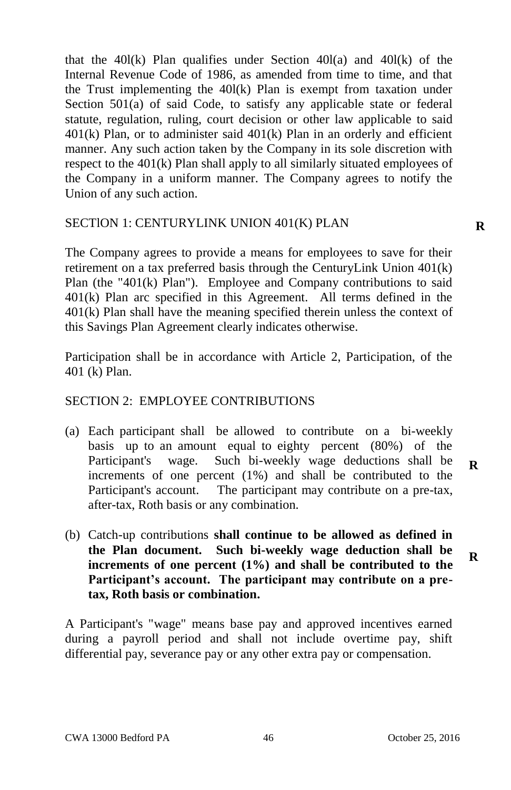that the  $40l(k)$  Plan qualifies under Section  $40l(a)$  and  $40l(k)$  of the Internal Revenue Code of 1986, as amended from time to time, and that the Trust implementing the 40l(k) Plan is exempt from taxation under Section 501(a) of said Code, to satisfy any applicable state or federal statute, regulation, ruling, court decision or other law applicable to said  $401(k)$  Plan, or to administer said  $401(k)$  Plan in an orderly and efficient manner. Any such action taken by the Company in its sole discretion with respect to the 401(k) Plan shall apply to all similarly situated employees of the Company in a uniform manner. The Company agrees to notify the Union of any such action.

#### SECTlON 1: CENTURYLINK UNION 401(K) PLAN

The Company agrees to provide a means for employees to save for their retirement on a tax preferred basis through the CenturyLink Union 401(k) Plan (the "401(k) Plan"). Employee and Company contributions to said 401(k) Plan arc specified in this Agreement. All terms defined in the 401(k) Plan shall have the meaning specified therein unless the context of this Savings Plan Agreement clearly indicates otherwise.

Participation shall be in accordance with Article 2, Participation, of the 401 (k) Plan.

# SECTION 2: EMPLOYEE CONTRIBUTIONS

- (a) Each participant shall be allowed to contribute on a bi-weekly basis up to an amount equal to eighty percent (80%) of the Participant's wage. Such bi-weekly wage deductions shall be increments of one percent (1%) and shall be contributed to the Participant's account. The participant may contribute on a pre-tax, after-tax, Roth basis or any combination.
- (b) Catch-up contributions **shall continue to be allowed as defined in the Plan document. Such bi-weekly wage deduction shall be increments of one percent (1%) and shall be contributed to the Participant's account. The participant may contribute on a pretax, Roth basis or combination.**

A Participant's "wage" means base pay and approved incentives earned during a payroll period and shall not include overtime pay, shift differential pay, severance pay or any other extra pay or compensation.

**R**

**R**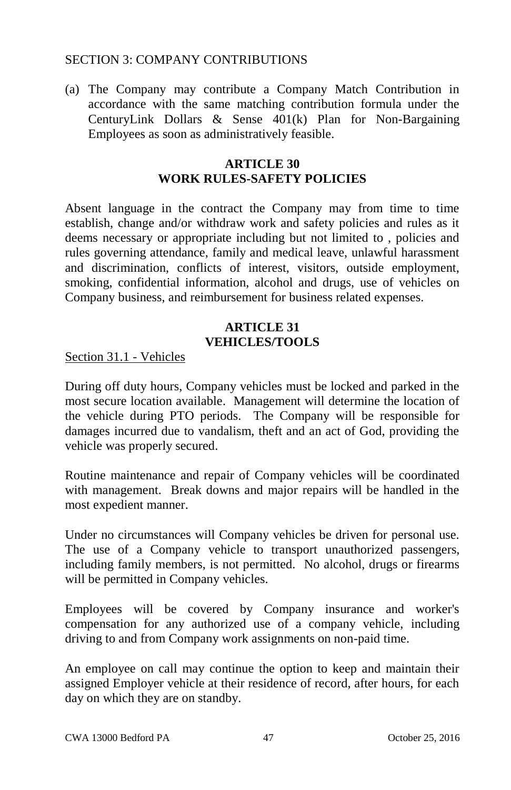#### SECTION 3: COMPANY CONTRIBUTIONS

(a) The Company may contribute a Company Match Contribution in accordance with the same matching contribution formula under the CenturyLink Dollars & Sense 401(k) Plan for Non-Bargaining Employees as soon as administratively feasible.

#### **ARTICLE 30 WORK RULES-SAFETY POLICIES**

Absent language in the contract the Company may from time to time establish, change and/or withdraw work and safety policies and rules as it deems necessary or appropriate including but not limited to , policies and rules governing attendance, family and medical leave, unlawful harassment and discrimination, conflicts of interest, visitors, outside employment, smoking, confidential information, alcohol and drugs, use of vehicles on Company business, and reimbursement for business related expenses.

# **ARTICLE 31 VEHICLES/TOOLS**

Section 31.1 - Vehicles

During off duty hours, Company vehicles must be locked and parked in the most secure location available. Management will determine the location of the vehicle during PTO periods. The Company will be responsible for damages incurred due to vandalism, theft and an act of God, providing the vehicle was properly secured.

Routine maintenance and repair of Company vehicles will be coordinated with management. Break downs and major repairs will be handled in the most expedient manner.

Under no circumstances will Company vehicles be driven for personal use. The use of a Company vehicle to transport unauthorized passengers, including family members, is not permitted. No alcohol, drugs or firearms will be permitted in Company vehicles.

Employees will be covered by Company insurance and worker's compensation for any authorized use of a company vehicle, including driving to and from Company work assignments on non-paid time.

An employee on call may continue the option to keep and maintain their assigned Employer vehicle at their residence of record, after hours, for each day on which they are on standby.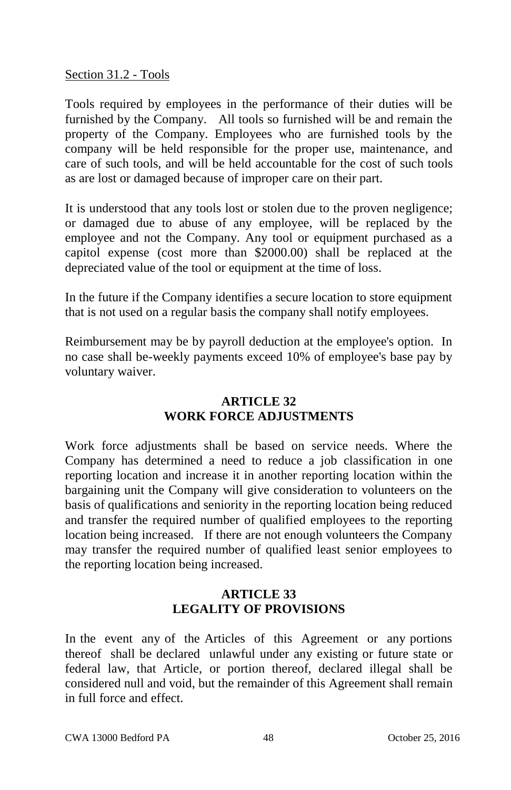Section 31.2 - Tools

Tools required by employees in the performance of their duties will be furnished by the Company. All tools so furnished will be and remain the property of the Company. Employees who are furnished tools by the company will be held responsible for the proper use, maintenance, and care of such tools, and will be held accountable for the cost of such tools as are lost or damaged because of improper care on their part.

It is understood that any tools lost or stolen due to the proven negligence; or damaged due to abuse of any employee, will be replaced by the employee and not the Company. Any tool or equipment purchased as a capitol expense (cost more than \$2000.00) shall be replaced at the depreciated value of the tool or equipment at the time of loss.

In the future if the Company identifies a secure location to store equipment that is not used on a regular basis the company shall notify employees.

Reimbursement may be by payroll deduction at the employee's option. In no case shall be-weekly payments exceed 10% of employee's base pay by voluntary waiver.

## **ARTICLE 32 WORK FORCE ADJUSTMENTS**

Work force adjustments shall be based on service needs. Where the Company has determined a need to reduce a job classification in one reporting location and increase it in another reporting location within the bargaining unit the Company will give consideration to volunteers on the basis of qualifications and seniority in the reporting location being reduced and transfer the required number of qualified employees to the reporting location being increased. If there are not enough volunteers the Company may transfer the required number of qualified least senior employees to the reporting location being increased.

# **ARTICLE 33 LEGALITY OF PROVISIONS**

In the event any of the Articles of this Agreement or any portions thereof shall be declared unlawful under any existing or future state or federal law, that Article, or portion thereof, declared illegal shall be considered null and void, but the remainder of this Agreement shall remain in full force and effect.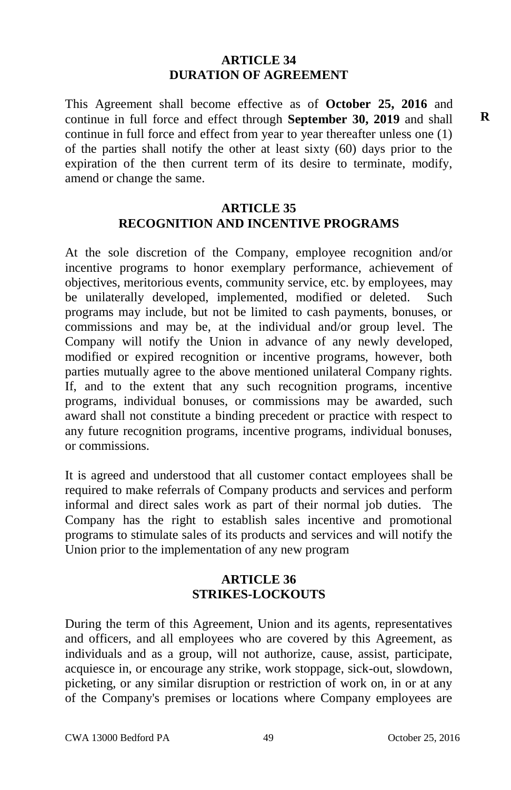#### **ARTICLE 34 DURATION OF AGREEMENT**

This Agreement shall become effective as of **October 25, 2016** and continue in full force and effect through **September 30, 2019** and shall continue in full force and effect from year to year thereafter unless one (1) of the parties shall notify the other at least sixty (60) days prior to the expiration of the then current term of its desire to terminate, modify, amend or change the same.

#### **ARTICLE 35 RECOGNITION AND INCENTIVE PROGRAMS**

At the sole discretion of the Company, employee recognition and/or incentive programs to honor exemplary performance, achievement of objectives, meritorious events, community service, etc. by employees, may be unilaterally developed, implemented, modified or deleted. Such programs may include, but not be limited to cash payments, bonuses, or commissions and may be, at the individual and/or group level. The Company will notify the Union in advance of any newly developed, modified or expired recognition or incentive programs, however, both parties mutually agree to the above mentioned unilateral Company rights. If, and to the extent that any such recognition programs, incentive programs, individual bonuses, or commissions may be awarded, such award shall not constitute a binding precedent or practice with respect to any future recognition programs, incentive programs, individual bonuses, or commissions.

It is agreed and understood that all customer contact employees shall be required to make referrals of Company products and services and perform informal and direct sales work as part of their normal job duties. The Company has the right to establish sales incentive and promotional programs to stimulate sales of its products and services and will notify the Union prior to the implementation of any new program

## **ARTICLE 36 STRIKES-LOCKOUTS**

During the term of this Agreement, Union and its agents, representatives and officers, and all employees who are covered by this Agreement, as individuals and as a group, will not authorize, cause, assist, participate, acquiesce in, or encourage any strike, work stoppage, sick-out, slowdown, picketing, or any similar disruption or restriction of work on, in or at any of the Company's premises or locations where Company employees are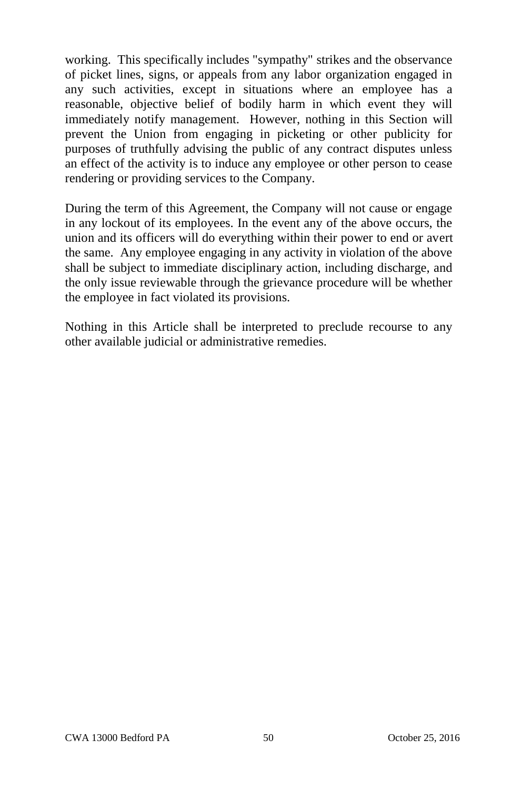working. This specifically includes "sympathy" strikes and the observance of picket lines, signs, or appeals from any labor organization engaged in any such activities, except in situations where an employee has a reasonable, objective belief of bodily harm in which event they will immediately notify management. However, nothing in this Section will prevent the Union from engaging in picketing or other publicity for purposes of truthfully advising the public of any contract disputes unless an effect of the activity is to induce any employee or other person to cease rendering or providing services to the Company.

During the term of this Agreement, the Company will not cause or engage in any lockout of its employees. In the event any of the above occurs, the union and its officers will do everything within their power to end or avert the same. Any employee engaging in any activity in violation of the above shall be subject to immediate disciplinary action, including discharge, and the only issue reviewable through the grievance procedure will be whether the employee in fact violated its provisions.

Nothing in this Article shall be interpreted to preclude recourse to any other available judicial or administrative remedies.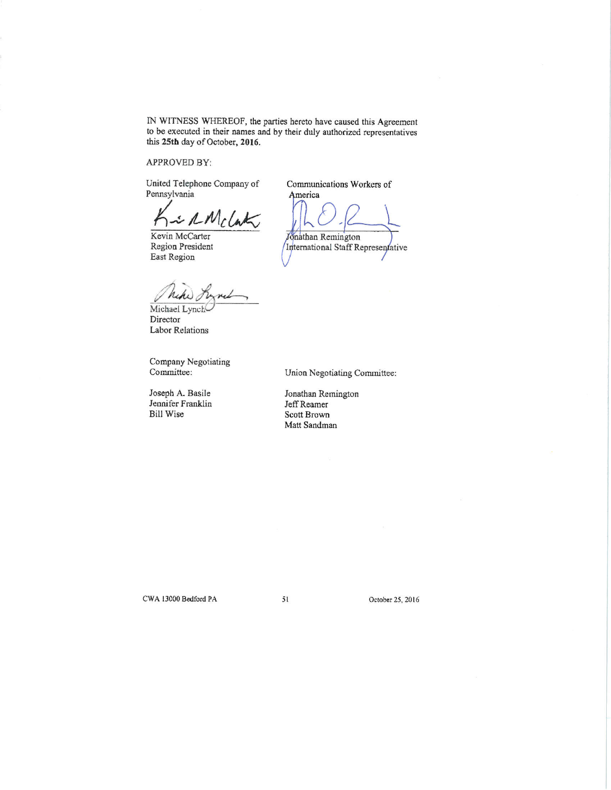IN WITNESS WHEREOF, the parties hereto have caused this Agreement to be executed in their names and by their duly authorized representatives this 25th day of October, 2016.

APPROVED BY:

United Telephone Company of Pennsylvania

· RMcCat

Kevin McCarter Region President East Region

riki Michael Lynch

Director Labor Relations

Company Negotiating Committee:

Joseph A. Basile Jennifer Franklin **Bill Wise** 

Communications Workers of America

Jonathan Remington International Staff Representative

Union Negotiating Committee:

Jonathan Remington Jeff Reamer Scott Brown Matt Sandman

51

CWA 13000 Bedford PA

October 25, 2016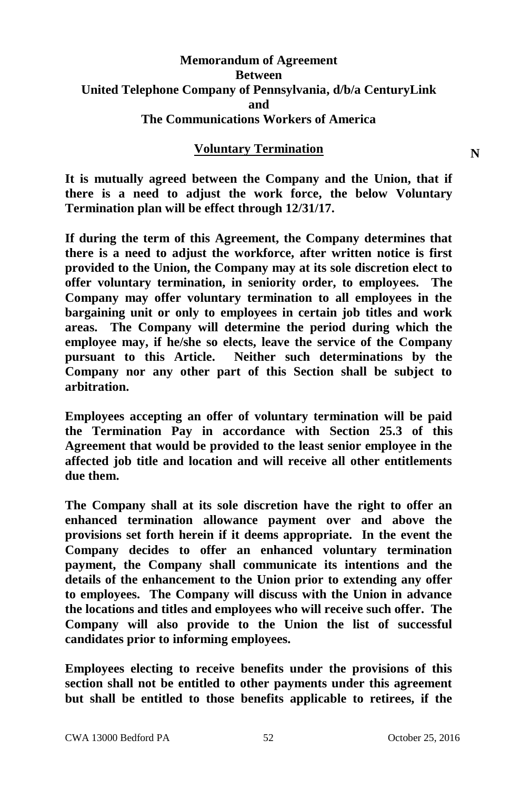## **Memorandum of Agreement Between United Telephone Company of Pennsylvania, d/b/a CenturyLink and The Communications Workers of America**

#### **Voluntary Termination**

**It is mutually agreed between the Company and the Union, that if there is a need to adjust the work force, the below Voluntary Termination plan will be effect through 12/31/17.**

**If during the term of this Agreement, the Company determines that there is a need to adjust the workforce, after written notice is first provided to the Union, the Company may at its sole discretion elect to offer voluntary termination, in seniority order, to employees. The Company may offer voluntary termination to all employees in the bargaining unit or only to employees in certain job titles and work areas. The Company will determine the period during which the employee may, if he/she so elects, leave the service of the Company pursuant to this Article. Neither such determinations by the Company nor any other part of this Section shall be subject to arbitration.**

**Employees accepting an offer of voluntary termination will be paid the Termination Pay in accordance with Section 25.3 of this Agreement that would be provided to the least senior employee in the affected job title and location and will receive all other entitlements due them.**

**The Company shall at its sole discretion have the right to offer an enhanced termination allowance payment over and above the provisions set forth herein if it deems appropriate. In the event the Company decides to offer an enhanced voluntary termination payment, the Company shall communicate its intentions and the details of the enhancement to the Union prior to extending any offer to employees. The Company will discuss with the Union in advance the locations and titles and employees who will receive such offer. The Company will also provide to the Union the list of successful candidates prior to informing employees.**

**Employees electing to receive benefits under the provisions of this section shall not be entitled to other payments under this agreement but shall be entitled to those benefits applicable to retirees, if the**  **N**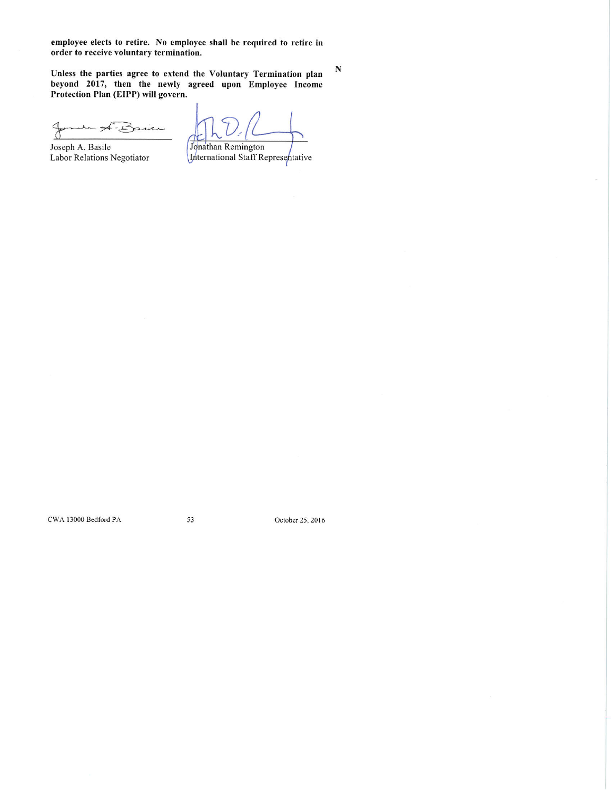employee elects to retire. No employee shall be required to retire in order to receive voluntary termination.

Unless the parties agree to extend the Voluntary Termination plan<br>beyond 2017, then the newly agreed upon Employee Income<br>Protection Plan (EIPP) will govern.

 $\beta$  $-L<sup>2</sup>$ asien  $\rightarrow$ 

Joseph A. Basile Labor Relations Negotiator

Jonathan Remington

 ${\bf N}$ 

International Staff Representative

CWA 13000 Bedford PA

53

October 25, 2016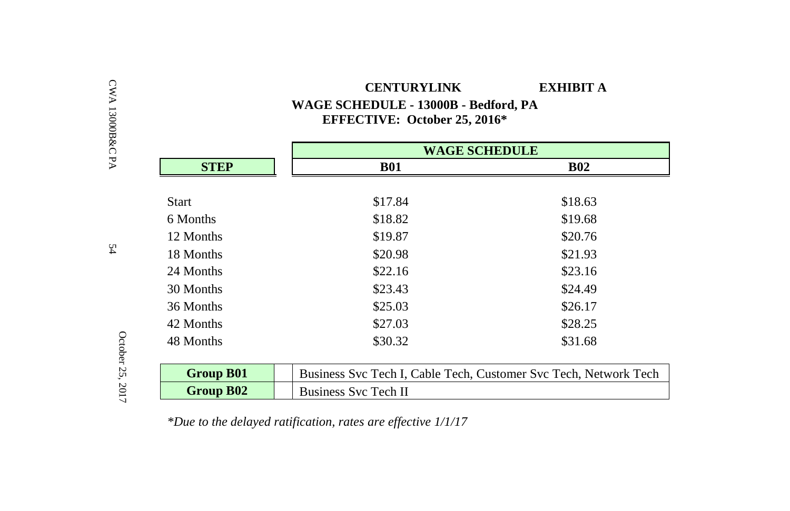| <b>CENTURYLINK</b>                   | EXHIBIT A |
|--------------------------------------|-----------|
| WAGE SCHEDULE - 13000B - Bedford, PA |           |
| <b>EFFECTIVE: October 25, 2016*</b>  |           |

|                  | <b>WAGE SCHEDULE</b>                                             |            |
|------------------|------------------------------------------------------------------|------------|
| <b>STEP</b>      | <b>B01</b>                                                       | <b>B02</b> |
|                  |                                                                  |            |
| Start            | \$17.84                                                          | \$18.63    |
| 6 Months         | \$18.82                                                          | \$19.68    |
| 12 Months        | \$19.87                                                          | \$20.76    |
| 18 Months        | \$20.98                                                          | \$21.93    |
| 24 Months        | \$22.16                                                          | \$23.16    |
| 30 Months        | \$23.43                                                          | \$24.49    |
| 36 Months        | \$25.03                                                          | \$26.17    |
| 42 Months        | \$27.03                                                          | \$28.25    |
| 48 Months        | \$30.32                                                          | \$31.68    |
| <b>Group B01</b> | Business Svc Tech I, Cable Tech, Customer Svc Tech, Network Tech |            |
| Group B02        | <b>Business Svc Tech II</b>                                      |            |

*\*Due to the delayed ratification, rates are effective 1/1/17*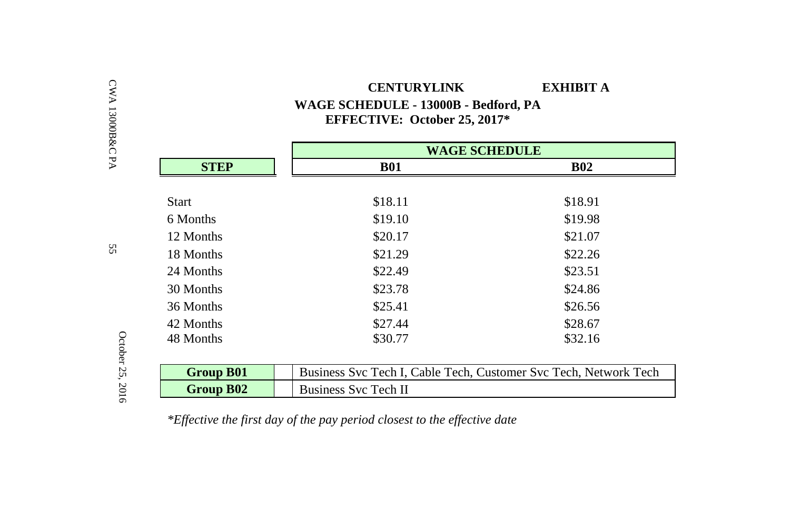|                  |                             | <b>WAGE SCHEDULE</b>                                             |  |
|------------------|-----------------------------|------------------------------------------------------------------|--|
| <b>STEP</b>      | <b>B01</b>                  | <b>B02</b>                                                       |  |
| Start            | \$18.11                     | \$18.91                                                          |  |
| 6 Months         | \$19.10                     | \$19.98                                                          |  |
| 12 Months        | \$20.17                     | \$21.07                                                          |  |
| 18 Months        | \$21.29                     | \$22.26                                                          |  |
| 24 Months        | \$22.49                     | \$23.51                                                          |  |
| 30 Months        | \$23.78                     | \$24.86                                                          |  |
| 36 Months        | \$25.41                     | \$26.56                                                          |  |
| 42 Months        | \$27.44                     | \$28.67                                                          |  |
| 48 Months        | \$30.77                     | \$32.16                                                          |  |
|                  |                             |                                                                  |  |
| <b>Group B01</b> |                             | Business Svc Tech I, Cable Tech, Customer Svc Tech, Network Tech |  |
| Group B02        | <b>Business Svc Tech II</b> |                                                                  |  |

 **CENTURYLINK EXHIBIT A WAGE SCHEDULE - 13000B - Bedford, PA**

*\*Effective the first day of the pay period closest to the effective date*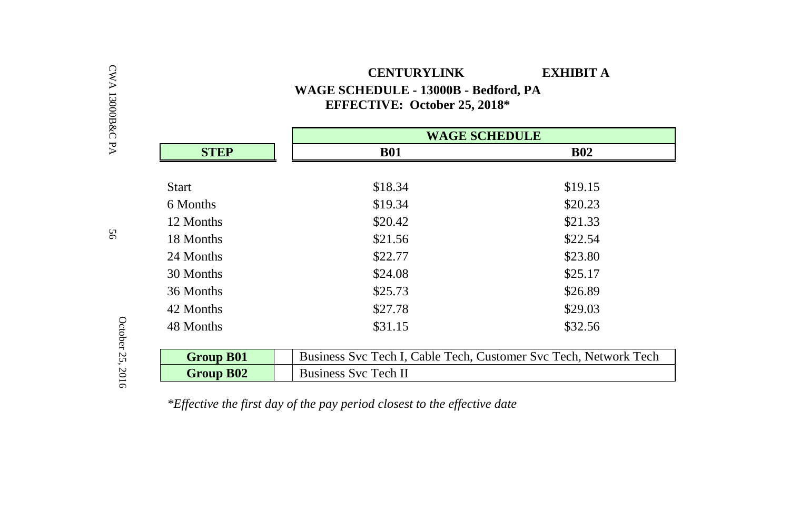# **CENTURYLINK EXHIBIT A WAGE SCHEDULE - 13000B - Bedford, PA EFFECTIVE: October 25, 2018\***

|                  | <b>WAGE SCHEDULE</b>                                             |            |
|------------------|------------------------------------------------------------------|------------|
| <b>STEP</b>      | <b>B01</b>                                                       | <b>B02</b> |
|                  |                                                                  |            |
| <b>Start</b>     | \$18.34                                                          | \$19.15    |
| 6 Months         | \$19.34                                                          | \$20.23    |
| 12 Months        | \$20.42                                                          | \$21.33    |
| 18 Months        | \$21.56                                                          | \$22.54    |
| 24 Months        | \$22.77                                                          | \$23.80    |
| 30 Months        | \$24.08                                                          | \$25.17    |
| 36 Months        | \$25.73                                                          | \$26.89    |
| 42 Months        | \$27.78                                                          | \$29.03    |
| 48 Months        | \$31.15                                                          | \$32.56    |
|                  |                                                                  |            |
| <b>Group B01</b> | Business Svc Tech I, Cable Tech, Customer Svc Tech, Network Tech |            |
| <b>Group B02</b> | <b>Business Svc Tech II</b>                                      |            |

*\*Effective the first day of the pay period closest to the effective date*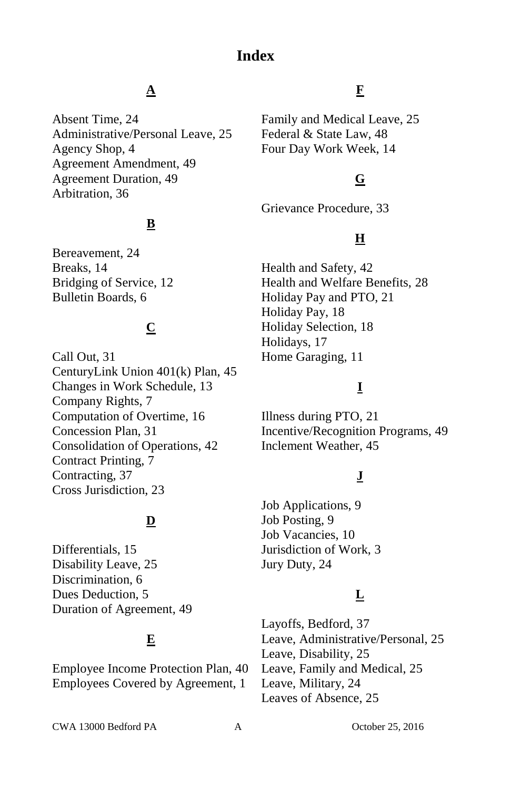# **Index**

# **A**

Absent Time, 24 Administrative/Personal Leave, 25 Agency Shop, 4 Agreement Amendment, 49 Agreement Duration, 49 Arbitration, 36

# **B**

Bereavement, 24 Breaks, 14 Bridging of Service, 12 Bulletin Boards, 6

# **C**

Call Out, 31 CenturyLink Union 401(k) Plan, 45 Changes in Work Schedule, 13 Company Rights, 7 Computation of Overtime, 16 Concession Plan, 31 Consolidation of Operations, 42 Contract Printing, 7 Contracting, 37 Cross Jurisdiction, 23

# **D**

Differentials, 15 Disability Leave, 25 Discrimination, 6 Dues Deduction, 5 Duration of Agreement, 49

# **E**

Employee Income Protection Plan, 40 Employees Covered by Agreement, 1

# **F**

Family and Medical Leave, 25 Federal & State Law, 48 Four Day Work Week, 14

# **G**

Grievance Procedure, 33

# **H**

Health and Safety, 42 Health and Welfare Benefits, 28 Holiday Pay and PTO, 21 Holiday Pay, 18 Holiday Selection, 18 Holidays, 17 Home Garaging, 11

# **I**

Illness during PTO, 21 Incentive/Recognition Programs, 49 Inclement Weather, 45

# **J**

Job Applications, 9 Job Posting, 9 Job Vacancies, 10 Jurisdiction of Work, 3 Jury Duty, 24

# **L**

Layoffs, Bedford, 37 Leave, Administrative/Personal, 25 Leave, Disability, 25 Leave, Family and Medical, 25 Leave, Military, 24 Leaves of Absence, 25

CWA 13000 Bedford PA A October 25, 2016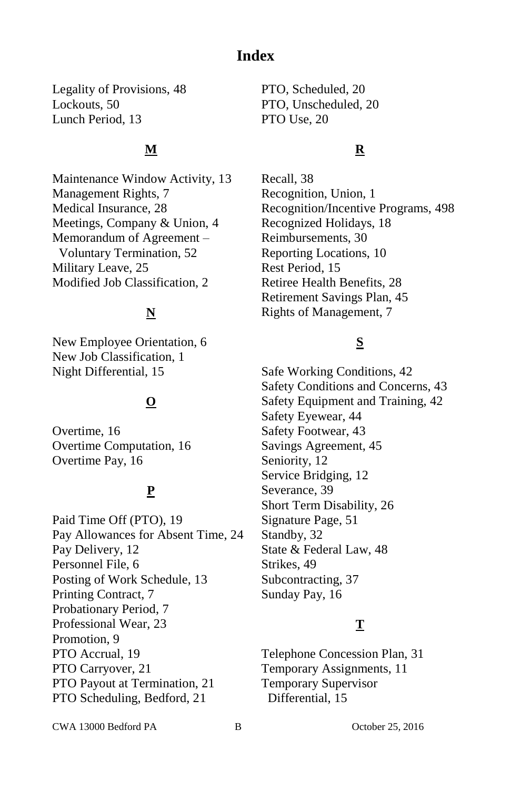# **Index**

Legality of Provisions, 48 Lockouts, 50 Lunch Period, 13

## **M**

Maintenance Window Activity, 13 Management Rights, 7 Medical Insurance, 28 Meetings, Company & Union, 4 Memorandum of Agreement – Voluntary Termination, 52 Military Leave, 25 Modified Job Classification, 2

# **N**

New Employee Orientation, 6 New Job Classification, 1 Night Differential, 15

# **O**

Overtime, 16 Overtime Computation, 16 Overtime Pay, 16

# **P**

Paid Time Off (PTO), 19 Pay Allowances for Absent Time, 24 Pay Delivery, 12 Personnel File, 6 Posting of Work Schedule, 13 Printing Contract, 7 Probationary Period, 7 Professional Wear, 23 Promotion, 9 PTO Accrual, 19 PTO Carryover, 21 PTO Payout at Termination, 21 PTO Scheduling, Bedford, 21

PTO, Scheduled, 20 PTO, Unscheduled, 20 PTO Use, 20

# **R**

Recall, 38 Recognition, Union, 1 Recognition/Incentive Programs, 498 Recognized Holidays, 18 Reimbursements, 30 Reporting Locations, 10 Rest Period, 15 Retiree Health Benefits, 28 Retirement Savings Plan, 45 Rights of Management, 7

# **S**

Safe Working Conditions, 42 Safety Conditions and Concerns, 43 Safety Equipment and Training, 42 Safety Eyewear, 44 Safety Footwear, 43 Savings Agreement, 45 Seniority, 12 Service Bridging, 12 Severance, 39 Short Term Disability, 26 Signature Page, 51 Standby, 32 State & Federal Law, 48 Strikes, 49 Subcontracting, 37 Sunday Pay, 16

# **T**

Telephone Concession Plan, 31 Temporary Assignments, 11 Temporary Supervisor Differential, 15

CWA 13000 Bedford PA B October 25, 2016